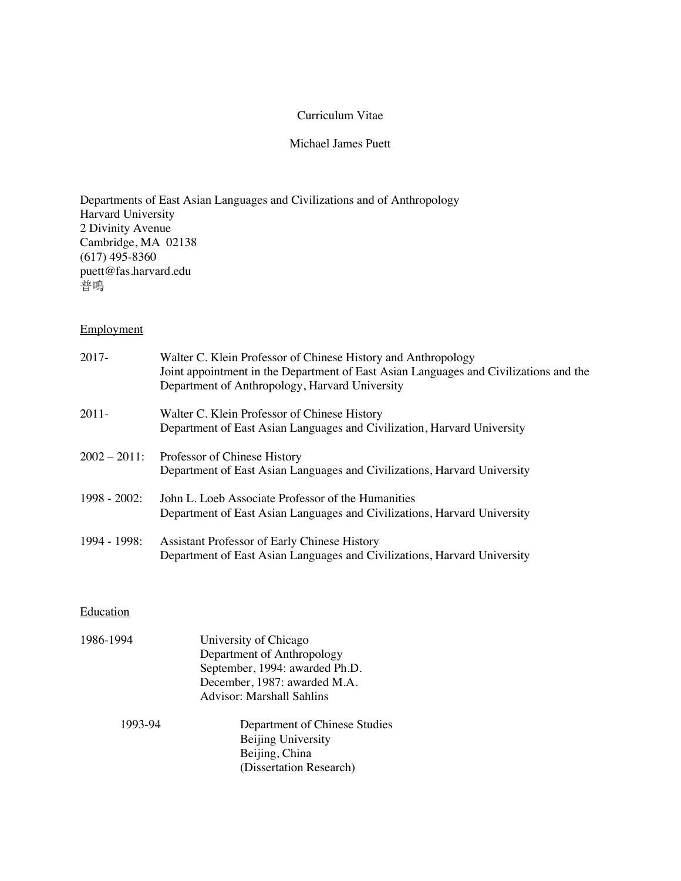### Curriculum Vitae

# Michael James Puett

# Departments of East Asian Languages and Civilizations and of Anthropology Harvard University 2 Divinity Avenue Cambridge, MA 02138 (617) 495-8360 puett@fas.harvard.edu 普鳴

# Employment

| 2017-           | Walter C. Klein Professor of Chinese History and Anthropology<br>Joint appointment in the Department of East Asian Languages and Civilizations and the<br>Department of Anthropology, Harvard University |
|-----------------|----------------------------------------------------------------------------------------------------------------------------------------------------------------------------------------------------------|
| 2011-           | Walter C. Klein Professor of Chinese History<br>Department of East Asian Languages and Civilization, Harvard University                                                                                  |
| $2002 - 2011$ : | Professor of Chinese History<br>Department of East Asian Languages and Civilizations, Harvard University                                                                                                 |
| $1998 - 2002$ : | John L. Loeb Associate Professor of the Humanities<br>Department of East Asian Languages and Civilizations, Harvard University                                                                           |
| $1994 - 1998$ : | Assistant Professor of Early Chinese History<br>Department of East Asian Languages and Civilizations, Harvard University                                                                                 |

## **Education**

| 1986-1994 | University of Chicago<br>Department of Anthropology<br>September, 1994: awarded Ph.D.<br>December, 1987: awarded M.A.<br><b>Advisor: Marshall Sahlins</b> |
|-----------|-----------------------------------------------------------------------------------------------------------------------------------------------------------|
| 1993-94   | Department of Chinese Studies                                                                                                                             |
|           | Beijing University<br>Beijing, China                                                                                                                      |
|           | (Dissertation Research)                                                                                                                                   |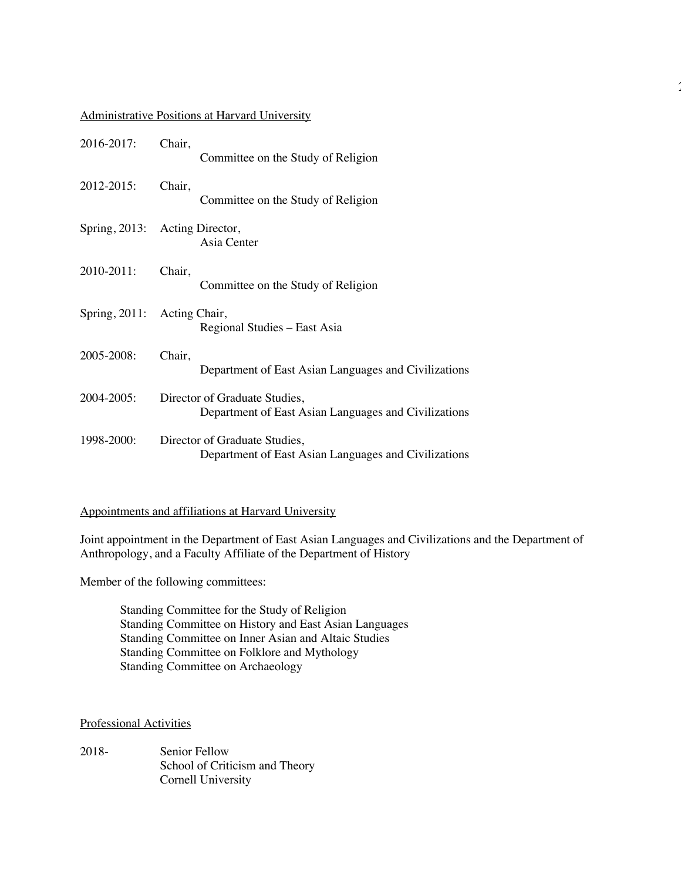### Administrative Positions at Harvard University

| 2016-2017:       | Chair,<br>Committee on the Study of Religion                                          |
|------------------|---------------------------------------------------------------------------------------|
| 2012-2015:       | Chair,<br>Committee on the Study of Religion                                          |
|                  | Spring, 2013: Acting Director,<br>Asia Center                                         |
| 2010-2011:       | Chair,<br>Committee on the Study of Religion                                          |
| Spring, $2011$ : | Acting Chair,<br>Regional Studies – East Asia                                         |
| 2005-2008:       | Chair,<br>Department of East Asian Languages and Civilizations                        |
| 2004-2005:       | Director of Graduate Studies,<br>Department of East Asian Languages and Civilizations |
| 1998-2000:       | Director of Graduate Studies,<br>Department of East Asian Languages and Civilizations |

## Appointments and affiliations at Harvard University

Joint appointment in the Department of East Asian Languages and Civilizations and the Department of Anthropology, and a Faculty Affiliate of the Department of History

2

Member of the following committees:

Standing Committee for the Study of Religion Standing Committee on History and East Asian Languages Standing Committee on Inner Asian and Altaic Studies Standing Committee on Folklore and Mythology Standing Committee on Archaeology

## Professional Activities

2018- Senior Fellow School of Criticism and Theory Cornell University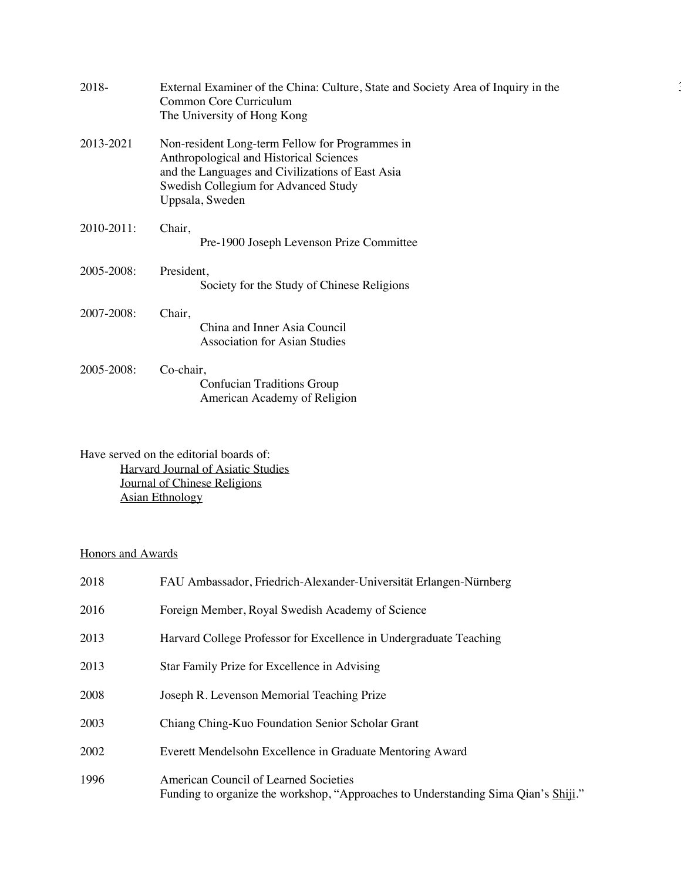| 2018-      | External Examiner of the China: Culture, State and Society Area of Inquiry in the<br>Common Core Curriculum<br>The University of Hong Kong                                                                |
|------------|-----------------------------------------------------------------------------------------------------------------------------------------------------------------------------------------------------------|
| 2013-2021  | Non-resident Long-term Fellow for Programmes in<br>Anthropological and Historical Sciences<br>and the Languages and Civilizations of East Asia<br>Swedish Collegium for Advanced Study<br>Uppsala, Sweden |
| 2010-2011: | Chair,<br>Pre-1900 Joseph Levenson Prize Committee                                                                                                                                                        |
| 2005-2008: | President,<br>Society for the Study of Chinese Religions                                                                                                                                                  |
| 2007-2008: | Chair,<br>China and Inner Asia Council<br><b>Association for Asian Studies</b>                                                                                                                            |
| 2005-2008: | Co-chair,<br><b>Confucian Traditions Group</b><br>American Academy of Religion                                                                                                                            |

Have served on the editorial boards of: Harvard Journal of Asiatic Studies Journal of Chinese Religions Asian Ethnology

# Honors and Awards

| 2018 | FAU Ambassador, Friedrich-Alexander-Universität Erlangen-Nürnberg                                                           |
|------|-----------------------------------------------------------------------------------------------------------------------------|
| 2016 | Foreign Member, Royal Swedish Academy of Science                                                                            |
| 2013 | Harvard College Professor for Excellence in Undergraduate Teaching                                                          |
| 2013 | Star Family Prize for Excellence in Advising                                                                                |
| 2008 | Joseph R. Levenson Memorial Teaching Prize                                                                                  |
| 2003 | Chiang Ching-Kuo Foundation Senior Scholar Grant                                                                            |
| 2002 | Everett Mendelsohn Excellence in Graduate Mentoring Award                                                                   |
| 1996 | American Council of Learned Societies<br>Funding to organize the workshop, "Approaches to Understanding Sima Qian's Shiji." |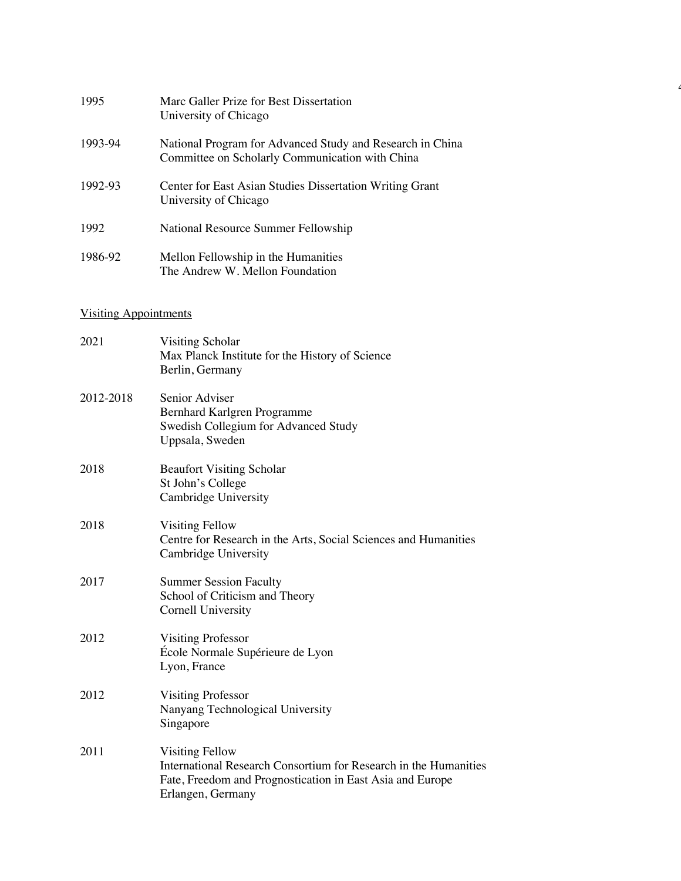| 1995    | Marc Galler Prize for Best Dissertation<br>University of Chicago                                             |
|---------|--------------------------------------------------------------------------------------------------------------|
| 1993-94 | National Program for Advanced Study and Research in China<br>Committee on Scholarly Communication with China |
| 1992-93 | Center for East Asian Studies Dissertation Writing Grant<br>University of Chicago                            |
| 1992    | National Resource Summer Fellowship                                                                          |
| 1986-92 | Mellon Fellowship in the Humanities<br>The Andrew W. Mellon Foundation                                       |

4

# Visiting Appointments

| 2021      | Visiting Scholar<br>Max Planck Institute for the History of Science<br>Berlin, Germany                                                                                |
|-----------|-----------------------------------------------------------------------------------------------------------------------------------------------------------------------|
| 2012-2018 | Senior Adviser<br>Bernhard Karlgren Programme<br>Swedish Collegium for Advanced Study<br>Uppsala, Sweden                                                              |
| 2018      | <b>Beaufort Visiting Scholar</b><br>St John's College<br>Cambridge University                                                                                         |
| 2018      | Visiting Fellow<br>Centre for Research in the Arts, Social Sciences and Humanities<br>Cambridge University                                                            |
| 2017      | <b>Summer Session Faculty</b><br>School of Criticism and Theory<br>Cornell University                                                                                 |
| 2012      | <b>Visiting Professor</b><br>École Normale Supérieure de Lyon<br>Lyon, France                                                                                         |
| 2012      | <b>Visiting Professor</b><br>Nanyang Technological University<br>Singapore                                                                                            |
| 2011      | Visiting Fellow<br>International Research Consortium for Research in the Humanities<br>Fate, Freedom and Prognostication in East Asia and Europe<br>Erlangen, Germany |
|           |                                                                                                                                                                       |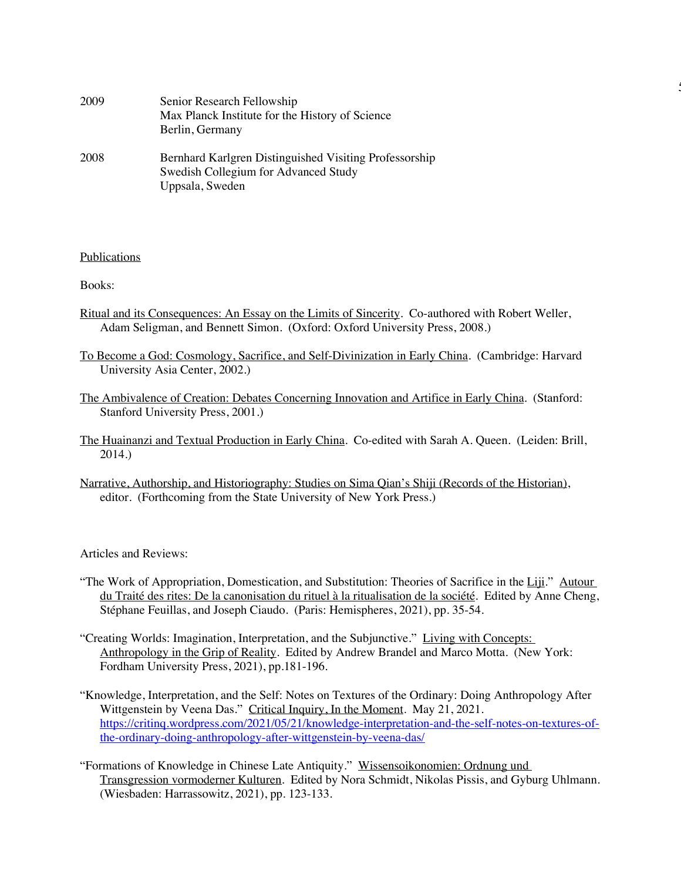| 2009 | Senior Research Fellowship<br>Max Planck Institute for the History of Science<br>Berlin, Germany                  |
|------|-------------------------------------------------------------------------------------------------------------------|
| 2008 | Bernhard Karlgren Distinguished Visiting Professorship<br>Swedish Collegium for Advanced Study<br>Uppsala, Sweden |

### **Publications**

Books:

Ritual and its Consequences: An Essay on the Limits of Sincerity. Co-authored with Robert Weller, Adam Seligman, and Bennett Simon. (Oxford: Oxford University Press, 2008.)

5

- To Become a God: Cosmology, Sacrifice, and Self-Divinization in Early China. (Cambridge: Harvard University Asia Center, 2002.)
- The Ambivalence of Creation: Debates Concerning Innovation and Artifice in Early China. (Stanford: Stanford University Press, 2001.)
- The Huainanzi and Textual Production in Early China. Co-edited with Sarah A. Queen. (Leiden: Brill, 2014.)
- Narrative, Authorship, and Historiography: Studies on Sima Qian's Shiji (Records of the Historian), editor. (Forthcoming from the State University of New York Press.)

Articles and Reviews:

- "The Work of Appropriation, Domestication, and Substitution: Theories of Sacrifice in the Liji." Autour du Traité des rites: De la canonisation du rituel à la ritualisation de la société. Edited by Anne Cheng, Stéphane Feuillas, and Joseph Ciaudo. (Paris: Hemispheres, 2021), pp. 35-54.
- "Creating Worlds: Imagination, Interpretation, and the Subjunctive." Living with Concepts: Anthropology in the Grip of Reality. Edited by Andrew Brandel and Marco Motta. (New York: Fordham University Press, 2021), pp.181-196.
- "Knowledge, Interpretation, and the Self: Notes on Textures of the Ordinary: Doing Anthropology After Wittgenstein by Veena Das." Critical Inquiry, In the Moment. May 21, 2021. https://critinq.wordpress.com/2021/05/21/knowledge-interpretation-and-the-self-notes-on-textures-ofthe-ordinary-doing-anthropology-after-wittgenstein-by-veena-das/
- "Formations of Knowledge in Chinese Late Antiquity." Wissensoikonomien: Ordnung und Transgression vormoderner Kulturen. Edited by Nora Schmidt, Nikolas Pissis, and Gyburg Uhlmann. (Wiesbaden: Harrassowitz, 2021), pp. 123-133.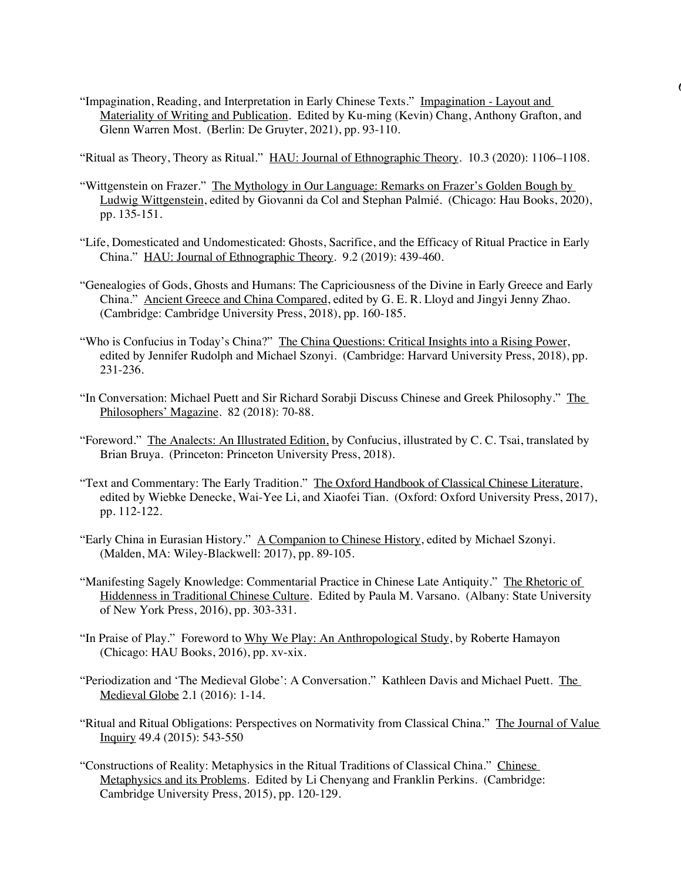"Impagination, Reading, and Interpretation in Early Chinese Texts." Impagination - Layout and Materiality of Writing and Publication. Edited by Ku-ming (Kevin) Chang, Anthony Grafton, and Glenn Warren Most. (Berlin: De Gruyter, 2021), pp. 93-110.

6

"Ritual as Theory, Theory as Ritual." HAU: Journal of Ethnographic Theory. 10.3 (2020): 1106–1108.

- "Wittgenstein on Frazer." The Mythology in Our Language: Remarks on Frazer's Golden Bough by Ludwig Wittgenstein, edited by Giovanni da Col and Stephan Palmié. (Chicago: Hau Books, 2020), pp. 135-151.
- "Life, Domesticated and Undomesticated: Ghosts, Sacrifice, and the Efficacy of Ritual Practice in Early China." HAU: Journal of Ethnographic Theory. 9.2 (2019): 439-460.
- "Genealogies of Gods, Ghosts and Humans: The Capriciousness of the Divine in Early Greece and Early China." Ancient Greece and China Compared, edited by G. E. R. Lloyd and Jingyi Jenny Zhao. (Cambridge: Cambridge University Press, 2018), pp. 160-185.
- "Who is Confucius in Today's China?" The China Questions: Critical Insights into a Rising Power, edited by Jennifer Rudolph and Michael Szonyi. (Cambridge: Harvard University Press, 2018), pp. 231-236.
- "In Conversation: Michael Puett and Sir Richard Sorabji Discuss Chinese and Greek Philosophy." The Philosophers' Magazine. 82 (2018): 70-88.
- "Foreword." The Analects: An Illustrated Edition, by Confucius, illustrated by C. C. Tsai, translated by Brian Bruya. (Princeton: Princeton University Press, 2018).
- "Text and Commentary: The Early Tradition." The Oxford Handbook of Classical Chinese Literature, edited by Wiebke Denecke, Wai-Yee Li, and Xiaofei Tian. (Oxford: Oxford University Press, 2017), pp. 112-122.
- "Early China in Eurasian History." A Companion to Chinese History, edited by Michael Szonyi. (Malden, MA: Wiley-Blackwell: 2017), pp. 89-105.
- "Manifesting Sagely Knowledge: Commentarial Practice in Chinese Late Antiquity." The Rhetoric of Hiddenness in Traditional Chinese Culture. Edited by Paula M. Varsano. (Albany: State University of New York Press, 2016), pp. 303-331.
- "In Praise of Play." Foreword to Why We Play: An Anthropological Study, by Roberte Hamayon (Chicago: HAU Books, 2016), pp. xv-xix.
- "Periodization and 'The Medieval Globe': A Conversation." Kathleen Davis and Michael Puett. The Medieval Globe 2.1 (2016): 1-14.
- "Ritual and Ritual Obligations: Perspectives on Normativity from Classical China." The Journal of Value Inquiry 49.4 (2015): 543-550
- "Constructions of Reality: Metaphysics in the Ritual Traditions of Classical China." Chinese Metaphysics and its Problems. Edited by Li Chenyang and Franklin Perkins. (Cambridge: Cambridge University Press, 2015), pp. 120-129.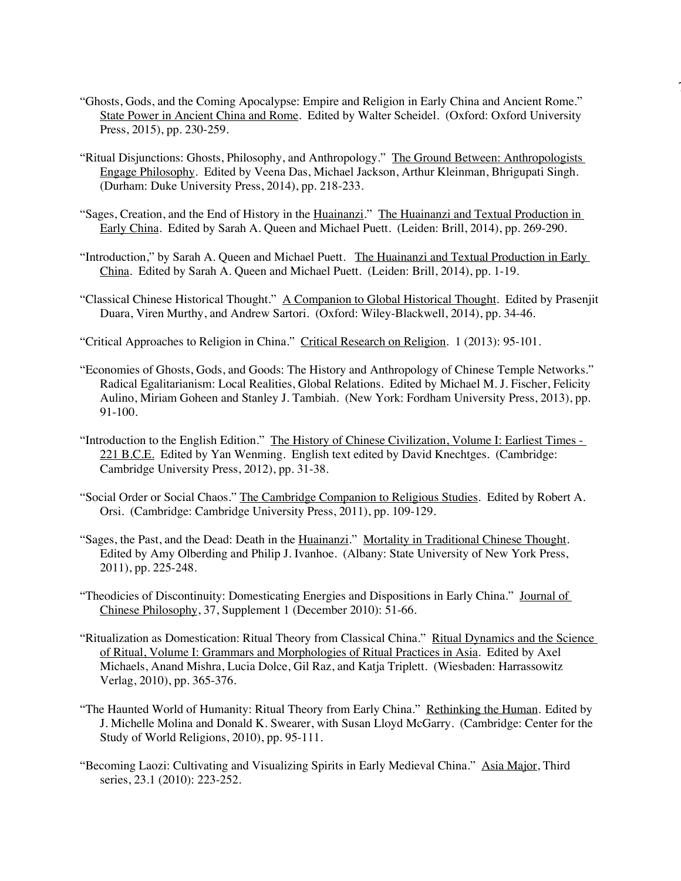"Ghosts, Gods, and the Coming Apocalypse: Empire and Religion in Early China and Ancient Rome." State Power in Ancient China and Rome. Edited by Walter Scheidel. (Oxford: Oxford University Press, 2015), pp. 230-259.

7

- "Ritual Disjunctions: Ghosts, Philosophy, and Anthropology." The Ground Between: Anthropologists Engage Philosophy. Edited by Veena Das, Michael Jackson, Arthur Kleinman, Bhrigupati Singh. (Durham: Duke University Press, 2014), pp. 218-233.
- "Sages, Creation, and the End of History in the Huainanzi." The Huainanzi and Textual Production in Early China. Edited by Sarah A. Queen and Michael Puett. (Leiden: Brill, 2014), pp. 269-290.
- "Introduction," by Sarah A. Queen and Michael Puett. The Huainanzi and Textual Production in Early China. Edited by Sarah A. Queen and Michael Puett. (Leiden: Brill, 2014), pp. 1-19.
- "Classical Chinese Historical Thought." A Companion to Global Historical Thought. Edited by Prasenjit Duara, Viren Murthy, and Andrew Sartori. (Oxford: Wiley-Blackwell, 2014), pp. 34-46.
- "Critical Approaches to Religion in China." Critical Research on Religion. 1 (2013): 95-101.
- "Economies of Ghosts, Gods, and Goods: The History and Anthropology of Chinese Temple Networks." Radical Egalitarianism: Local Realities, Global Relations. Edited by Michael M. J. Fischer, Felicity Aulino, Miriam Goheen and Stanley J. Tambiah. (New York: Fordham University Press, 2013), pp. 91-100.
- "Introduction to the English Edition." The History of Chinese Civilization, Volume I: Earliest Times -221 B.C.E. Edited by Yan Wenming. English text edited by David Knechtges. (Cambridge: Cambridge University Press, 2012), pp. 31-38.
- "Social Order or Social Chaos." The Cambridge Companion to Religious Studies. Edited by Robert A. Orsi. (Cambridge: Cambridge University Press, 2011), pp. 109-129.
- "Sages, the Past, and the Dead: Death in the Huainanzi." Mortality in Traditional Chinese Thought. Edited by Amy Olberding and Philip J. Ivanhoe. (Albany: State University of New York Press, 2011), pp. 225-248.
- "Theodicies of Discontinuity: Domesticating Energies and Dispositions in Early China." Journal of Chinese Philosophy, 37, Supplement 1 (December 2010): 51-66.
- "Ritualization as Domestication: Ritual Theory from Classical China." Ritual Dynamics and the Science of Ritual, Volume I: Grammars and Morphologies of Ritual Practices in Asia. Edited by Axel Michaels, Anand Mishra, Lucia Dolce, Gil Raz, and Katja Triplett. (Wiesbaden: Harrassowitz Verlag, 2010), pp. 365-376.
- "The Haunted World of Humanity: Ritual Theory from Early China." Rethinking the Human. Edited by J. Michelle Molina and Donald K. Swearer, with Susan Lloyd McGarry. (Cambridge: Center for the Study of World Religions, 2010), pp. 95-111.
- "Becoming Laozi: Cultivating and Visualizing Spirits in Early Medieval China." Asia Major, Third series, 23.1 (2010): 223-252.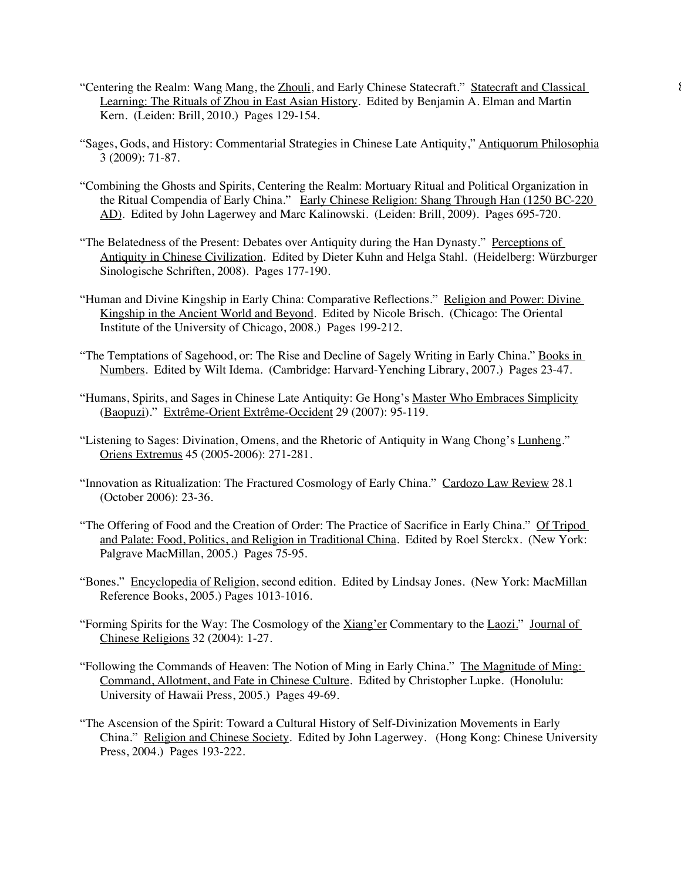- "Centering the Realm: Wang Mang, the Zhouli, and Early Chinese Statecraft." Statecraft and Classical 8 Learning: The Rituals of Zhou in East Asian History. Edited by Benjamin A. Elman and Martin Kern. (Leiden: Brill, 2010.) Pages 129-154.
- "Sages, Gods, and History: Commentarial Strategies in Chinese Late Antiquity," Antiquorum Philosophia 3 (2009): 71-87.
- "Combining the Ghosts and Spirits, Centering the Realm: Mortuary Ritual and Political Organization in the Ritual Compendia of Early China." Early Chinese Religion: Shang Through Han (1250 BC-220 AD). Edited by John Lagerwey and Marc Kalinowski. (Leiden: Brill, 2009). Pages 695-720.
- "The Belatedness of the Present: Debates over Antiquity during the Han Dynasty." Perceptions of Antiquity in Chinese Civilization. Edited by Dieter Kuhn and Helga Stahl. (Heidelberg: Würzburger Sinologische Schriften, 2008). Pages 177-190.
- "Human and Divine Kingship in Early China: Comparative Reflections." Religion and Power: Divine Kingship in the Ancient World and Beyond. Edited by Nicole Brisch. (Chicago: The Oriental Institute of the University of Chicago, 2008.) Pages 199-212.
- "The Temptations of Sagehood, or: The Rise and Decline of Sagely Writing in Early China." Books in Numbers. Edited by Wilt Idema. (Cambridge: Harvard-Yenching Library, 2007.) Pages 23-47.
- "Humans, Spirits, and Sages in Chinese Late Antiquity: Ge Hong's Master Who Embraces Simplicity (Baopuzi)." Extrême-Orient Extrême-Occident 29 (2007): 95-119.
- "Listening to Sages: Divination, Omens, and the Rhetoric of Antiquity in Wang Chong's Lunheng." Oriens Extremus 45 (2005-2006): 271-281.
- "Innovation as Ritualization: The Fractured Cosmology of Early China." Cardozo Law Review 28.1 (October 2006): 23-36.
- "The Offering of Food and the Creation of Order: The Practice of Sacrifice in Early China." Of Tripod and Palate: Food, Politics, and Religion in Traditional China. Edited by Roel Sterckx. (New York: Palgrave MacMillan, 2005.) Pages 75-95.
- "Bones." Encyclopedia of Religion, second edition. Edited by Lindsay Jones. (New York: MacMillan Reference Books, 2005.) Pages 1013-1016.
- "Forming Spirits for the Way: The Cosmology of the Xiang'er Commentary to the Laozi." Journal of Chinese Religions 32 (2004): 1-27.
- "Following the Commands of Heaven: The Notion of Ming in Early China." The Magnitude of Ming: Command, Allotment, and Fate in Chinese Culture. Edited by Christopher Lupke. (Honolulu: University of Hawaii Press, 2005.) Pages 49-69.
- "The Ascension of the Spirit: Toward a Cultural History of Self-Divinization Movements in Early China." Religion and Chinese Society. Edited by John Lagerwey. (Hong Kong: Chinese University Press, 2004.) Pages 193-222.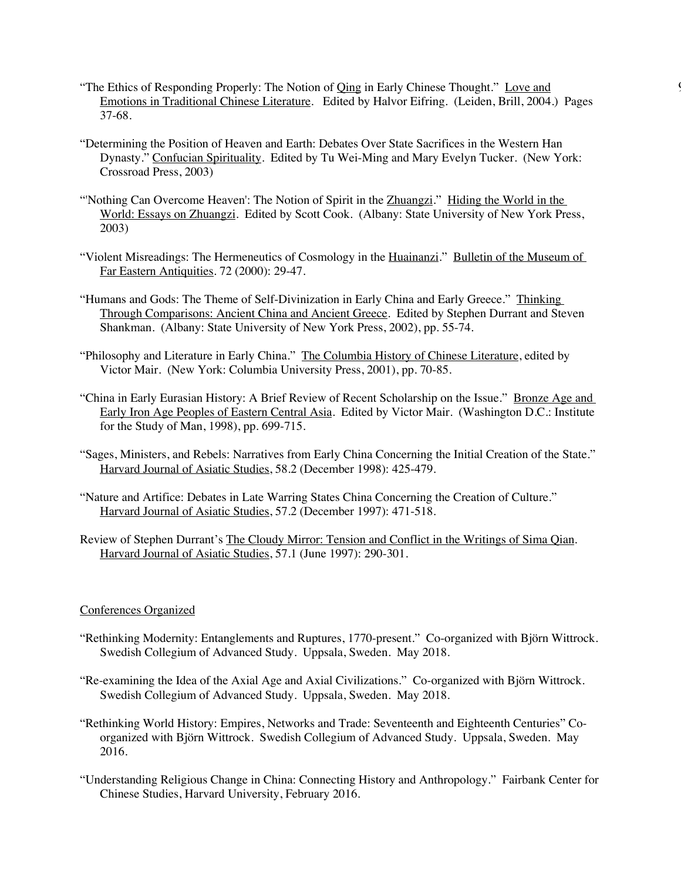- "The Ethics of Responding Properly: The Notion of Qing in Early Chinese Thought." Love and 9 Emotions in Traditional Chinese Literature. Edited by Halvor Eifring. (Leiden, Brill, 2004.) Pages 37-68.
- "Determining the Position of Heaven and Earth: Debates Over State Sacrifices in the Western Han Dynasty." Confucian Spirituality. Edited by Tu Wei-Ming and Mary Evelyn Tucker. (New York: Crossroad Press, 2003)
- "Nothing Can Overcome Heaven': The Notion of Spirit in the Zhuangzi." Hiding the World in the World: Essays on Zhuangzi. Edited by Scott Cook. (Albany: State University of New York Press, 2003)
- "Violent Misreadings: The Hermeneutics of Cosmology in the Huainanzi." Bulletin of the Museum of Far Eastern Antiquities. 72 (2000): 29-47.
- "Humans and Gods: The Theme of Self-Divinization in Early China and Early Greece." Thinking Through Comparisons: Ancient China and Ancient Greece. Edited by Stephen Durrant and Steven Shankman. (Albany: State University of New York Press, 2002), pp. 55-74.
- "Philosophy and Literature in Early China." The Columbia History of Chinese Literature, edited by Victor Mair. (New York: Columbia University Press, 2001), pp. 70-85.
- "China in Early Eurasian History: A Brief Review of Recent Scholarship on the Issue." Bronze Age and Early Iron Age Peoples of Eastern Central Asia. Edited by Victor Mair. (Washington D.C.: Institute for the Study of Man, 1998), pp. 699-715.
- "Sages, Ministers, and Rebels: Narratives from Early China Concerning the Initial Creation of the State." Harvard Journal of Asiatic Studies, 58.2 (December 1998): 425-479.
- "Nature and Artifice: Debates in Late Warring States China Concerning the Creation of Culture." Harvard Journal of Asiatic Studies, 57.2 (December 1997): 471-518.
- Review of Stephen Durrant's The Cloudy Mirror: Tension and Conflict in the Writings of Sima Qian. Harvard Journal of Asiatic Studies, 57.1 (June 1997): 290-301.

### Conferences Organized

- "Rethinking Modernity: Entanglements and Ruptures, 1770-present." Co-organized with Björn Wittrock. Swedish Collegium of Advanced Study. Uppsala, Sweden. May 2018.
- "Re-examining the Idea of the Axial Age and Axial Civilizations." Co-organized with Björn Wittrock. Swedish Collegium of Advanced Study. Uppsala, Sweden. May 2018.
- "Rethinking World History: Empires, Networks and Trade: Seventeenth and Eighteenth Centuries" Coorganized with Björn Wittrock. Swedish Collegium of Advanced Study. Uppsala, Sweden. May 2016.
- "Understanding Religious Change in China: Connecting History and Anthropology." Fairbank Center for Chinese Studies, Harvard University, February 2016.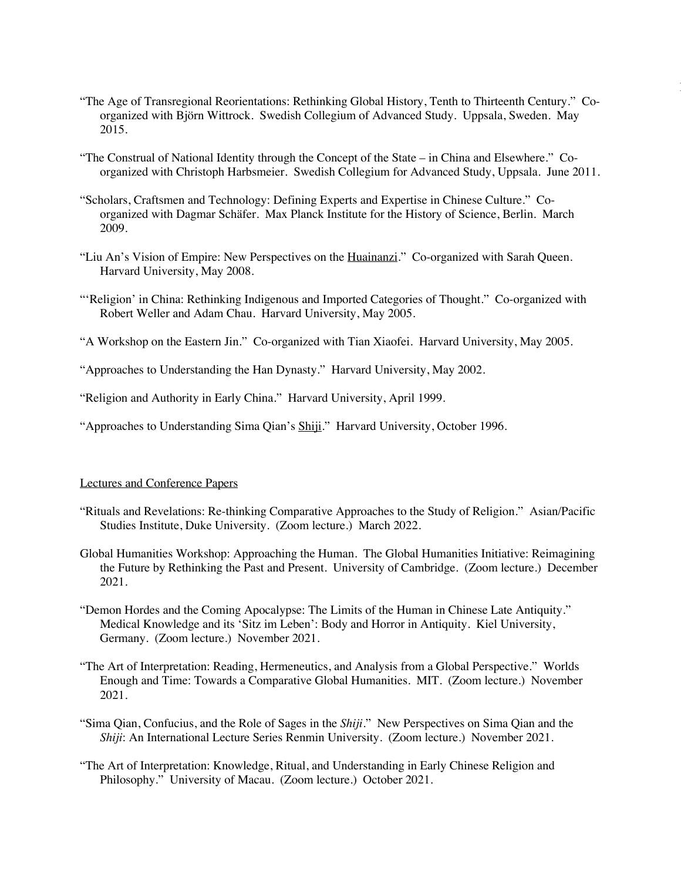"The Age of Transregional Reorientations: Rethinking Global History, Tenth to Thirteenth Century." Coorganized with Björn Wittrock. Swedish Collegium of Advanced Study. Uppsala, Sweden. May 2015.

|<br>|<br>|

- "The Construal of National Identity through the Concept of the State in China and Elsewhere." Coorganized with Christoph Harbsmeier. Swedish Collegium for Advanced Study, Uppsala. June 2011.
- "Scholars, Craftsmen and Technology: Defining Experts and Expertise in Chinese Culture." Coorganized with Dagmar Schäfer. Max Planck Institute for the History of Science, Berlin. March 2009.
- "Liu An's Vision of Empire: New Perspectives on the Huainanzi." Co-organized with Sarah Queen. Harvard University, May 2008.
- "'Religion' in China: Rethinking Indigenous and Imported Categories of Thought." Co-organized with Robert Weller and Adam Chau. Harvard University, May 2005.
- "A Workshop on the Eastern Jin." Co-organized with Tian Xiaofei. Harvard University, May 2005.
- "Approaches to Understanding the Han Dynasty." Harvard University, May 2002.
- "Religion and Authority in Early China." Harvard University, April 1999.
- "Approaches to Understanding Sima Qian's Shiji." Harvard University, October 1996.

## Lectures and Conference Papers

- "Rituals and Revelations: Re-thinking Comparative Approaches to the Study of Religion." Asian/Pacific Studies Institute, Duke University. (Zoom lecture.) March 2022.
- Global Humanities Workshop: Approaching the Human. The Global Humanities Initiative: Reimagining the Future by Rethinking the Past and Present. University of Cambridge. (Zoom lecture.) December 2021.
- "Demon Hordes and the Coming Apocalypse: The Limits of the Human in Chinese Late Antiquity." Medical Knowledge and its 'Sitz im Leben': Body and Horror in Antiquity. Kiel University, Germany. (Zoom lecture.) November 2021.
- "The Art of Interpretation: Reading, Hermeneutics, and Analysis from a Global Perspective." Worlds Enough and Time: Towards a Comparative Global Humanities. MIT. (Zoom lecture.) November 2021.
- "Sima Qian, Confucius, and the Role of Sages in the *Shiji*." New Perspectives on Sima Qian and the *Shiji*: An International Lecture Series Renmin University. (Zoom lecture.) November 2021.
- "The Art of Interpretation: Knowledge, Ritual, and Understanding in Early Chinese Religion and Philosophy." University of Macau. (Zoom lecture.) October 2021.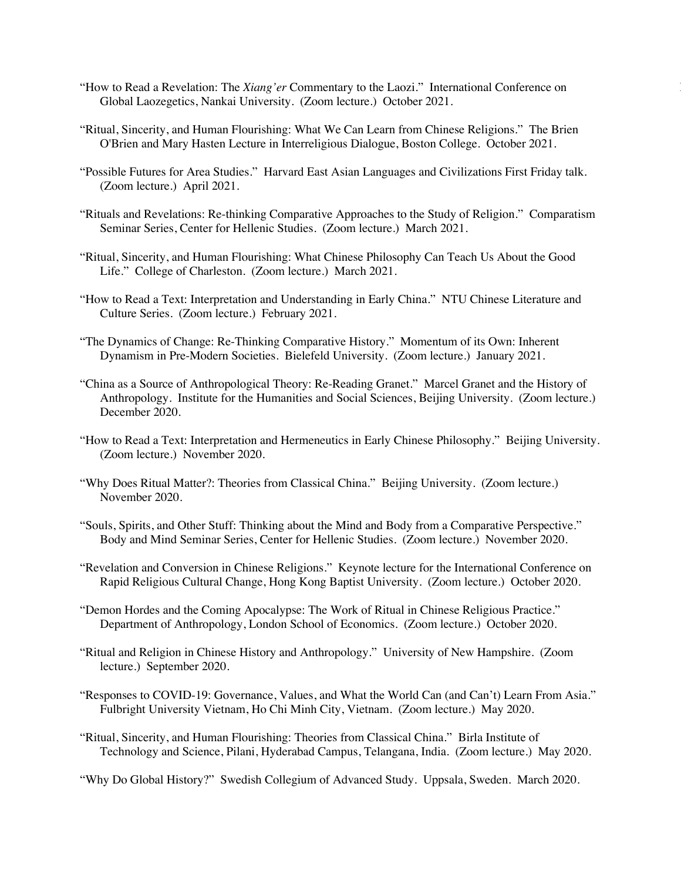- "How to Read a Revelation: The *Xiang'er* Commentary to the Laozi." International Conference on 11 Global Laozegetics, Nankai University. (Zoom lecture.) October 2021.
- "Ritual, Sincerity, and Human Flourishing: What We Can Learn from Chinese Religions." The Brien O'Brien and Mary Hasten Lecture in Interreligious Dialogue, Boston College. October 2021.
- "Possible Futures for Area Studies." Harvard East Asian Languages and Civilizations First Friday talk. (Zoom lecture.) April 2021.
- "Rituals and Revelations: Re-thinking Comparative Approaches to the Study of Religion." Comparatism Seminar Series, Center for Hellenic Studies. (Zoom lecture.) March 2021.
- "Ritual, Sincerity, and Human Flourishing: What Chinese Philosophy Can Teach Us About the Good Life." College of Charleston. (Zoom lecture.) March 2021.
- "How to Read a Text: Interpretation and Understanding in Early China." NTU Chinese Literature and Culture Series. (Zoom lecture.) February 2021.
- "The Dynamics of Change: Re-Thinking Comparative History." Momentum of its Own: Inherent Dynamism in Pre-Modern Societies. Bielefeld University. (Zoom lecture.) January 2021.
- "China as a Source of Anthropological Theory: Re-Reading Granet." Marcel Granet and the History of Anthropology. Institute for the Humanities and Social Sciences, Beijing University. (Zoom lecture.) December 2020.
- "How to Read a Text: Interpretation and Hermeneutics in Early Chinese Philosophy." Beijing University. (Zoom lecture.) November 2020.
- "Why Does Ritual Matter?: Theories from Classical China." Beijing University. (Zoom lecture.) November 2020.
- "Souls, Spirits, and Other Stuff: Thinking about the Mind and Body from a Comparative Perspective." Body and Mind Seminar Series, Center for Hellenic Studies. (Zoom lecture.) November 2020.
- "Revelation and Conversion in Chinese Religions." Keynote lecture for the International Conference on Rapid Religious Cultural Change, Hong Kong Baptist University. (Zoom lecture.) October 2020.
- "Demon Hordes and the Coming Apocalypse: The Work of Ritual in Chinese Religious Practice." Department of Anthropology, London School of Economics. (Zoom lecture.) October 2020.
- "Ritual and Religion in Chinese History and Anthropology." University of New Hampshire. (Zoom lecture.) September 2020.
- "Responses to COVID-19: Governance, Values, and What the World Can (and Can't) Learn From Asia." Fulbright University Vietnam, Ho Chi Minh City, Vietnam. (Zoom lecture.) May 2020.
- "Ritual, Sincerity, and Human Flourishing: Theories from Classical China." Birla Institute of Technology and Science, Pilani, Hyderabad Campus, Telangana, India. (Zoom lecture.) May 2020.

"Why Do Global History?" Swedish Collegium of Advanced Study. Uppsala, Sweden. March 2020.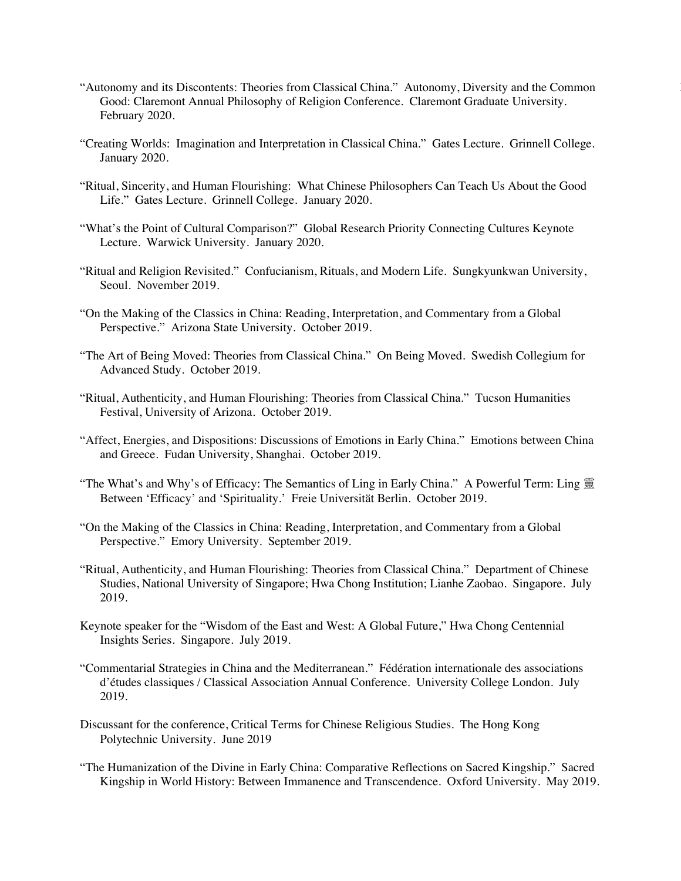- "Autonomy and its Discontents: Theories from Classical China." Autonomy, Diversity and the Common 12 Good: Claremont Annual Philosophy of Religion Conference. Claremont Graduate University. February 2020.
- "Creating Worlds: Imagination and Interpretation in Classical China." Gates Lecture. Grinnell College. January 2020.
- "Ritual, Sincerity, and Human Flourishing: What Chinese Philosophers Can Teach Us About the Good Life." Gates Lecture. Grinnell College. January 2020.
- "What's the Point of Cultural Comparison?" Global Research Priority Connecting Cultures Keynote Lecture. Warwick University. January 2020.
- "Ritual and Religion Revisited." Confucianism, Rituals, and Modern Life. Sungkyunkwan University, Seoul. November 2019.
- "On the Making of the Classics in China: Reading, Interpretation, and Commentary from a Global Perspective." Arizona State University. October 2019.
- "The Art of Being Moved: Theories from Classical China." On Being Moved. Swedish Collegium for Advanced Study. October 2019.
- "Ritual, Authenticity, and Human Flourishing: Theories from Classical China." Tucson Humanities Festival, University of Arizona. October 2019.
- "Affect, Energies, and Dispositions: Discussions of Emotions in Early China." Emotions between China and Greece. Fudan University, Shanghai. October 2019.
- "The What's and Why's of Efficacy: The Semantics of Ling in Early China." A Powerful Term: Ling 靈 Between 'Efficacy' and 'Spirituality.' Freie Universität Berlin. October 2019.
- "On the Making of the Classics in China: Reading, Interpretation, and Commentary from a Global Perspective." Emory University. September 2019.
- "Ritual, Authenticity, and Human Flourishing: Theories from Classical China." Department of Chinese Studies, National University of Singapore; Hwa Chong Institution; Lianhe Zaobao. Singapore. July 2019.
- Keynote speaker for the "Wisdom of the East and West: A Global Future," Hwa Chong Centennial Insights Series. Singapore. July 2019.
- "Commentarial Strategies in China and the Mediterranean." Fédération internationale des associations d'études classiques / Classical Association Annual Conference. University College London. July 2019.
- Discussant for the conference, Critical Terms for Chinese Religious Studies. The Hong Kong Polytechnic University. June 2019
- "The Humanization of the Divine in Early China: Comparative Reflections on Sacred Kingship." Sacred Kingship in World History: Between Immanence and Transcendence. Oxford University. May 2019.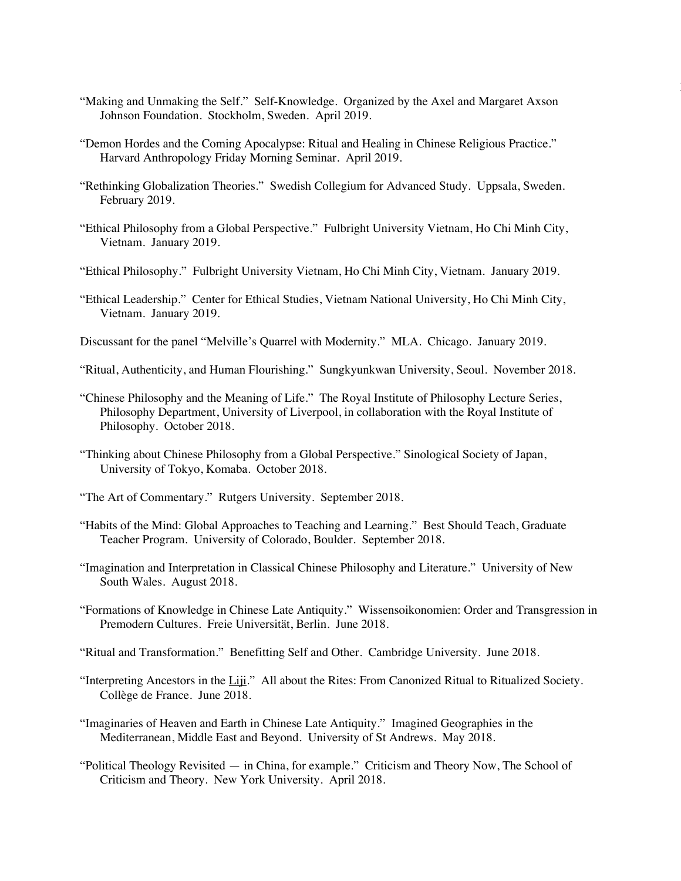"Making and Unmaking the Self." Self-Knowledge. Organized by the Axel and Margaret Axson Johnson Foundation. Stockholm, Sweden. April 2019.

|<br>|<br>|

- "Demon Hordes and the Coming Apocalypse: Ritual and Healing in Chinese Religious Practice." Harvard Anthropology Friday Morning Seminar. April 2019.
- "Rethinking Globalization Theories." Swedish Collegium for Advanced Study. Uppsala, Sweden. February 2019.
- "Ethical Philosophy from a Global Perspective." Fulbright University Vietnam, Ho Chi Minh City, Vietnam. January 2019.
- "Ethical Philosophy." Fulbright University Vietnam, Ho Chi Minh City, Vietnam. January 2019.
- "Ethical Leadership." Center for Ethical Studies, Vietnam National University, Ho Chi Minh City, Vietnam. January 2019.
- Discussant for the panel "Melville's Quarrel with Modernity." MLA. Chicago. January 2019.
- "Ritual, Authenticity, and Human Flourishing." Sungkyunkwan University, Seoul. November 2018.
- "Chinese Philosophy and the Meaning of Life." The Royal Institute of Philosophy Lecture Series, Philosophy Department, University of Liverpool, in collaboration with the Royal Institute of Philosophy. October 2018.
- "Thinking about Chinese Philosophy from a Global Perspective." Sinological Society of Japan, University of Tokyo, Komaba. October 2018.
- "The Art of Commentary." Rutgers University. September 2018.
- "Habits of the Mind: Global Approaches to Teaching and Learning." Best Should Teach, Graduate Teacher Program. University of Colorado, Boulder. September 2018.
- "Imagination and Interpretation in Classical Chinese Philosophy and Literature." University of New South Wales. August 2018.
- "Formations of Knowledge in Chinese Late Antiquity." Wissensoikonomien: Order and Transgression in Premodern Cultures. Freie Universität, Berlin. June 2018.
- "Ritual and Transformation." Benefitting Self and Other. Cambridge University. June 2018.
- "Interpreting Ancestors in the Liji." All about the Rites: From Canonized Ritual to Ritualized Society. Collège de France. June 2018.
- "Imaginaries of Heaven and Earth in Chinese Late Antiquity." Imagined Geographies in the Mediterranean, Middle East and Beyond. University of St Andrews. May 2018.
- "Political Theology Revisited in China, for example." Criticism and Theory Now, The School of Criticism and Theory. New York University. April 2018.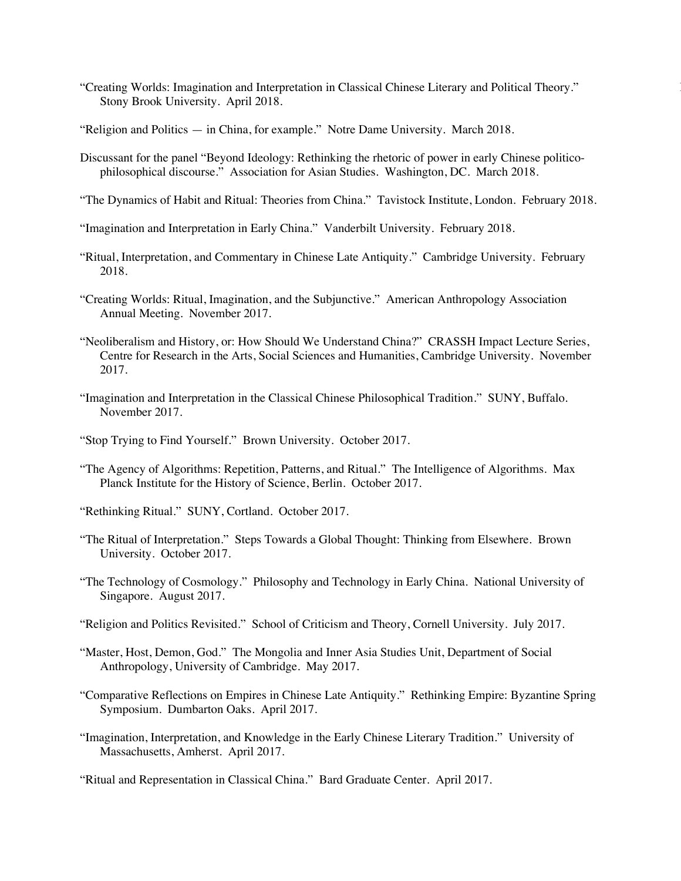- "Creating Worlds: Imagination and Interpretation in Classical Chinese Literary and Political Theory." 14 Stony Brook University. April 2018.
- "Religion and Politics in China, for example." Notre Dame University. March 2018.
- Discussant for the panel "Beyond Ideology: Rethinking the rhetoric of power in early Chinese politicophilosophical discourse." Association for Asian Studies. Washington, DC. March 2018.
- "The Dynamics of Habit and Ritual: Theories from China." Tavistock Institute, London. February 2018.
- "Imagination and Interpretation in Early China." Vanderbilt University. February 2018.
- "Ritual, Interpretation, and Commentary in Chinese Late Antiquity." Cambridge University. February 2018.
- "Creating Worlds: Ritual, Imagination, and the Subjunctive." American Anthropology Association Annual Meeting. November 2017.
- "Neoliberalism and History, or: How Should We Understand China?" CRASSH Impact Lecture Series, Centre for Research in the Arts, Social Sciences and Humanities, Cambridge University. November 2017.
- "Imagination and Interpretation in the Classical Chinese Philosophical Tradition." SUNY, Buffalo. November 2017.
- "Stop Trying to Find Yourself." Brown University. October 2017.
- "The Agency of Algorithms: Repetition, Patterns, and Ritual." The Intelligence of Algorithms. Max Planck Institute for the History of Science, Berlin. October 2017.
- "Rethinking Ritual." SUNY, Cortland. October 2017.
- "The Ritual of Interpretation." Steps Towards a Global Thought: Thinking from Elsewhere. Brown University. October 2017.
- "The Technology of Cosmology." Philosophy and Technology in Early China. National University of Singapore. August 2017.
- "Religion and Politics Revisited." School of Criticism and Theory, Cornell University. July 2017.
- "Master, Host, Demon, God." The Mongolia and Inner Asia Studies Unit, Department of Social Anthropology, University of Cambridge. May 2017.
- "Comparative Reflections on Empires in Chinese Late Antiquity." Rethinking Empire: Byzantine Spring Symposium. Dumbarton Oaks. April 2017.
- "Imagination, Interpretation, and Knowledge in the Early Chinese Literary Tradition." University of Massachusetts, Amherst. April 2017.

"Ritual and Representation in Classical China." Bard Graduate Center. April 2017.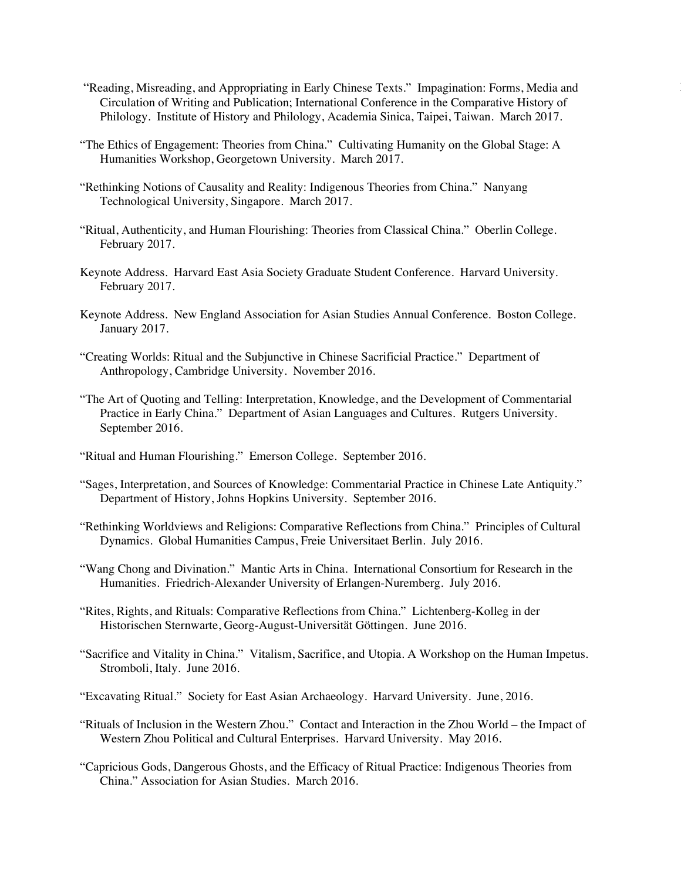- "Reading, Misreading, and Appropriating in Early Chinese Texts." Impagination: Forms, Media and 15 Circulation of Writing and Publication; International Conference in the Comparative History of Philology. Institute of History and Philology, Academia Sinica, Taipei, Taiwan. March 2017.
- "The Ethics of Engagement: Theories from China." Cultivating Humanity on the Global Stage: A Humanities Workshop, Georgetown University. March 2017.
- "Rethinking Notions of Causality and Reality: Indigenous Theories from China." Nanyang Technological University, Singapore. March 2017.
- "Ritual, Authenticity, and Human Flourishing: Theories from Classical China." Oberlin College. February 2017.
- Keynote Address. Harvard East Asia Society Graduate Student Conference. Harvard University. February 2017.
- Keynote Address. New England Association for Asian Studies Annual Conference. Boston College. January 2017.
- "Creating Worlds: Ritual and the Subjunctive in Chinese Sacrificial Practice." Department of Anthropology, Cambridge University. November 2016.
- "The Art of Quoting and Telling: Interpretation, Knowledge, and the Development of Commentarial Practice in Early China." Department of Asian Languages and Cultures. Rutgers University. September 2016.
- "Ritual and Human Flourishing." Emerson College. September 2016.
- "Sages, Interpretation, and Sources of Knowledge: Commentarial Practice in Chinese Late Antiquity." Department of History, Johns Hopkins University. September 2016.
- "Rethinking Worldviews and Religions: Comparative Reflections from China." Principles of Cultural Dynamics. Global Humanities Campus, Freie Universitaet Berlin. July 2016.
- "Wang Chong and Divination." Mantic Arts in China. International Consortium for Research in the Humanities. Friedrich-Alexander University of Erlangen-Nuremberg. July 2016.
- "Rites, Rights, and Rituals: Comparative Reflections from China." Lichtenberg-Kolleg in der Historischen Sternwarte, Georg-August-Universität Göttingen. June 2016.
- "Sacrifice and Vitality in China." Vitalism, Sacrifice, and Utopia. A Workshop on the Human Impetus. Stromboli, Italy. June 2016.
- "Excavating Ritual." Society for East Asian Archaeology. Harvard University. June, 2016.
- "Rituals of Inclusion in the Western Zhou." Contact and Interaction in the Zhou World the Impact of Western Zhou Political and Cultural Enterprises. Harvard University. May 2016.
- "Capricious Gods, Dangerous Ghosts, and the Efficacy of Ritual Practice: Indigenous Theories from China." Association for Asian Studies. March 2016.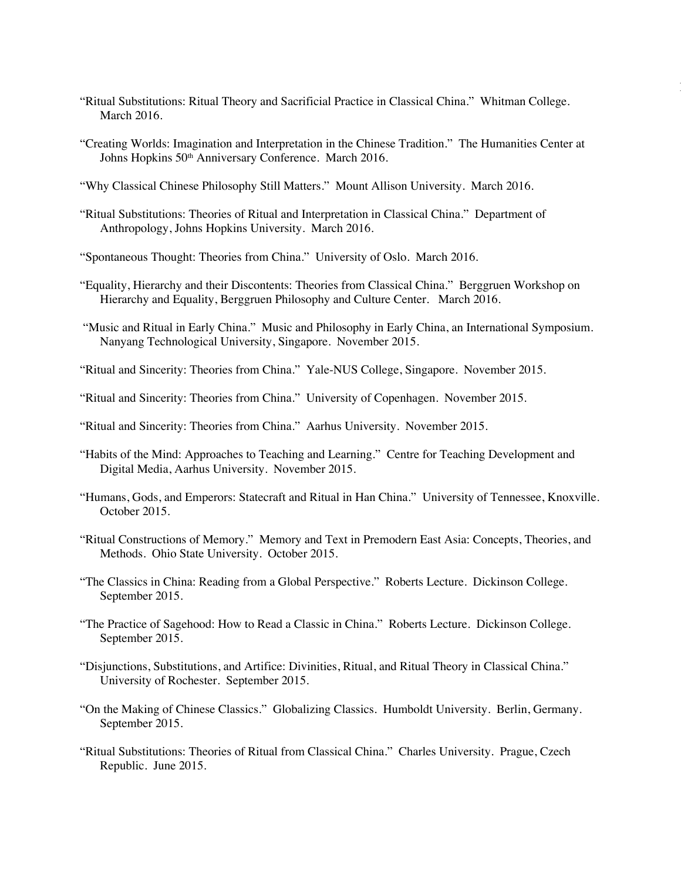"Ritual Substitutions: Ritual Theory and Sacrificial Practice in Classical China." Whitman College. March 2016.

|<br>|<br>|

- "Creating Worlds: Imagination and Interpretation in the Chinese Tradition." The Humanities Center at Johns Hopkins 50<sup>th</sup> Anniversary Conference. March 2016.
- "Why Classical Chinese Philosophy Still Matters." Mount Allison University. March 2016.
- "Ritual Substitutions: Theories of Ritual and Interpretation in Classical China." Department of Anthropology, Johns Hopkins University. March 2016.
- "Spontaneous Thought: Theories from China." University of Oslo. March 2016.
- "Equality, Hierarchy and their Discontents: Theories from Classical China." Berggruen Workshop on Hierarchy and Equality, Berggruen Philosophy and Culture Center. March 2016.
- "Music and Ritual in Early China." Music and Philosophy in Early China, an International Symposium. Nanyang Technological University, Singapore. November 2015.
- "Ritual and Sincerity: Theories from China." Yale-NUS College, Singapore. November 2015.
- "Ritual and Sincerity: Theories from China." University of Copenhagen. November 2015.
- "Ritual and Sincerity: Theories from China." Aarhus University. November 2015.
- "Habits of the Mind: Approaches to Teaching and Learning." Centre for Teaching Development and Digital Media, Aarhus University. November 2015.
- "Humans, Gods, and Emperors: Statecraft and Ritual in Han China." University of Tennessee, Knoxville. October 2015.
- "Ritual Constructions of Memory." Memory and Text in Premodern East Asia: Concepts, Theories, and Methods. Ohio State University. October 2015.
- "The Classics in China: Reading from a Global Perspective." Roberts Lecture. Dickinson College. September 2015.
- "The Practice of Sagehood: How to Read a Classic in China." Roberts Lecture. Dickinson College. September 2015.
- "Disjunctions, Substitutions, and Artifice: Divinities, Ritual, and Ritual Theory in Classical China." University of Rochester. September 2015.
- "On the Making of Chinese Classics." Globalizing Classics. Humboldt University. Berlin, Germany. September 2015.
- "Ritual Substitutions: Theories of Ritual from Classical China." Charles University. Prague, Czech Republic. June 2015.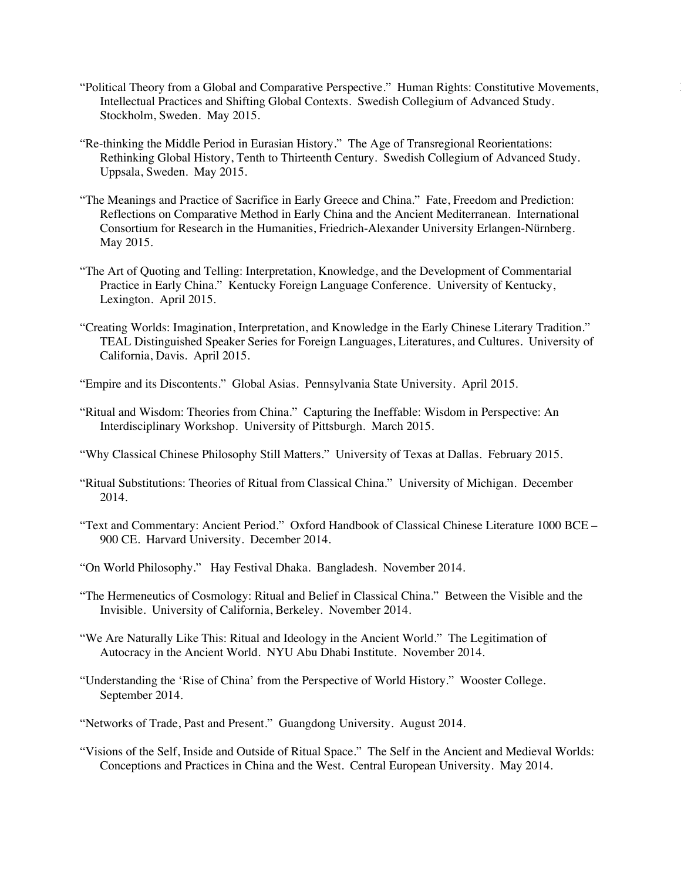- "Political Theory from a Global and Comparative Perspective." Human Rights: Constitutive Movements, 17 Intellectual Practices and Shifting Global Contexts. Swedish Collegium of Advanced Study. Stockholm, Sweden. May 2015.
- "Re-thinking the Middle Period in Eurasian History." The Age of Transregional Reorientations: Rethinking Global History, Tenth to Thirteenth Century. Swedish Collegium of Advanced Study. Uppsala, Sweden. May 2015.
- "The Meanings and Practice of Sacrifice in Early Greece and China." Fate, Freedom and Prediction: Reflections on Comparative Method in Early China and the Ancient Mediterranean. International Consortium for Research in the Humanities, Friedrich-Alexander University Erlangen-Nürnberg. May 2015.
- "The Art of Quoting and Telling: Interpretation, Knowledge, and the Development of Commentarial Practice in Early China." Kentucky Foreign Language Conference. University of Kentucky, Lexington. April 2015.
- "Creating Worlds: Imagination, Interpretation, and Knowledge in the Early Chinese Literary Tradition." TEAL Distinguished Speaker Series for Foreign Languages, Literatures, and Cultures. University of California, Davis. April 2015.
- "Empire and its Discontents." Global Asias. Pennsylvania State University. April 2015.
- "Ritual and Wisdom: Theories from China." Capturing the Ineffable: Wisdom in Perspective: An Interdisciplinary Workshop. University of Pittsburgh. March 2015.
- "Why Classical Chinese Philosophy Still Matters." University of Texas at Dallas. February 2015.
- "Ritual Substitutions: Theories of Ritual from Classical China." University of Michigan. December 2014.
- "Text and Commentary: Ancient Period." Oxford Handbook of Classical Chinese Literature 1000 BCE 900 CE. Harvard University. December 2014.
- "On World Philosophy." Hay Festival Dhaka. Bangladesh. November 2014.
- "The Hermeneutics of Cosmology: Ritual and Belief in Classical China." Between the Visible and the Invisible. University of California, Berkeley. November 2014.
- "We Are Naturally Like This: Ritual and Ideology in the Ancient World." The Legitimation of Autocracy in the Ancient World. NYU Abu Dhabi Institute. November 2014.
- "Understanding the 'Rise of China' from the Perspective of World History." Wooster College. September 2014.
- "Networks of Trade, Past and Present." Guangdong University. August 2014.
- "Visions of the Self, Inside and Outside of Ritual Space." The Self in the Ancient and Medieval Worlds: Conceptions and Practices in China and the West. Central European University. May 2014.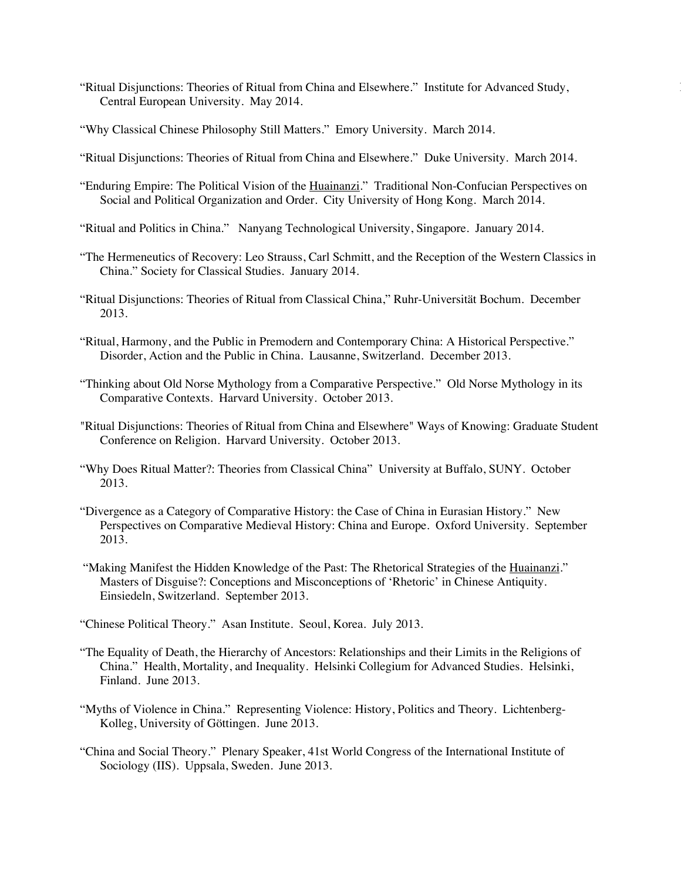- "Ritual Disjunctions: Theories of Ritual from China and Elsewhere." Institute for Advanced Study, 18 Central European University. May 2014.
- "Why Classical Chinese Philosophy Still Matters." Emory University. March 2014.
- "Ritual Disjunctions: Theories of Ritual from China and Elsewhere." Duke University. March 2014.
- "Enduring Empire: The Political Vision of the Huainanzi." Traditional Non-Confucian Perspectives on Social and Political Organization and Order. City University of Hong Kong. March 2014.
- "Ritual and Politics in China." Nanyang Technological University, Singapore. January 2014.
- "The Hermeneutics of Recovery: Leo Strauss, Carl Schmitt, and the Reception of the Western Classics in China." Society for Classical Studies. January 2014.
- "Ritual Disjunctions: Theories of Ritual from Classical China," Ruhr-Universität Bochum. December 2013.
- "Ritual, Harmony, and the Public in Premodern and Contemporary China: A Historical Perspective." Disorder, Action and the Public in China. Lausanne, Switzerland. December 2013.
- "Thinking about Old Norse Mythology from a Comparative Perspective." Old Norse Mythology in its Comparative Contexts. Harvard University. October 2013.
- "Ritual Disjunctions: Theories of Ritual from China and Elsewhere" Ways of Knowing: Graduate Student Conference on Religion. Harvard University. October 2013.
- "Why Does Ritual Matter?: Theories from Classical China" University at Buffalo, SUNY. October 2013.
- "Divergence as a Category of Comparative History: the Case of China in Eurasian History." New Perspectives on Comparative Medieval History: China and Europe. Oxford University. September 2013.
- "Making Manifest the Hidden Knowledge of the Past: The Rhetorical Strategies of the Huainanzi." Masters of Disguise?: Conceptions and Misconceptions of 'Rhetoric' in Chinese Antiquity. Einsiedeln, Switzerland. September 2013.

"Chinese Political Theory." Asan Institute. Seoul, Korea. July 2013.

- "The Equality of Death, the Hierarchy of Ancestors: Relationships and their Limits in the Religions of China." Health, Mortality, and Inequality. Helsinki Collegium for Advanced Studies. Helsinki, Finland. June 2013.
- "Myths of Violence in China." Representing Violence: History, Politics and Theory. Lichtenberg-Kolleg, University of Göttingen. June 2013.
- "China and Social Theory." Plenary Speaker, 41st World Congress of the International Institute of Sociology (IIS). Uppsala, Sweden. June 2013.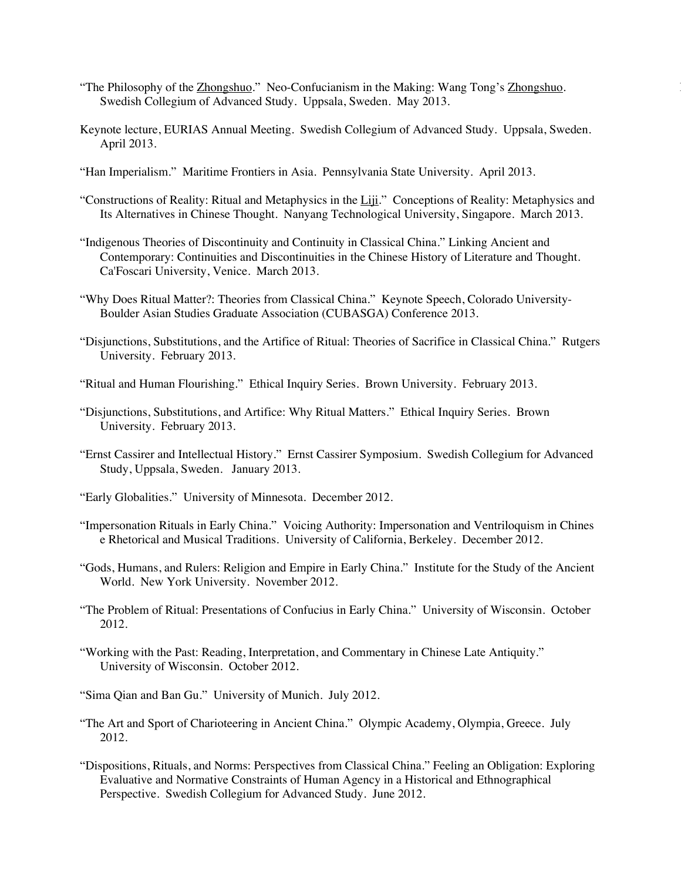- "The Philosophy of the Zhongshuo." Neo-Confucianism in the Making: Wang Tong's Zhongshuo. 19 Swedish Collegium of Advanced Study. Uppsala, Sweden. May 2013.
- Keynote lecture, EURIAS Annual Meeting. Swedish Collegium of Advanced Study. Uppsala, Sweden. April 2013.
- "Han Imperialism." Maritime Frontiers in Asia. Pennsylvania State University. April 2013.
- "Constructions of Reality: Ritual and Metaphysics in the Liji." Conceptions of Reality: Metaphysics and Its Alternatives in Chinese Thought. Nanyang Technological University, Singapore. March 2013.
- "Indigenous Theories of Discontinuity and Continuity in Classical China." Linking Ancient and Contemporary: Continuities and Discontinuities in the Chinese History of Literature and Thought. Ca'Foscari University, Venice. March 2013.
- "Why Does Ritual Matter?: Theories from Classical China." Keynote Speech, Colorado University-Boulder Asian Studies Graduate Association (CUBASGA) Conference 2013.
- "Disjunctions, Substitutions, and the Artifice of Ritual: Theories of Sacrifice in Classical China." Rutgers University. February 2013.
- "Ritual and Human Flourishing." Ethical Inquiry Series. Brown University. February 2013.
- "Disjunctions, Substitutions, and Artifice: Why Ritual Matters." Ethical Inquiry Series. Brown University. February 2013.
- "Ernst Cassirer and Intellectual History." Ernst Cassirer Symposium. Swedish Collegium for Advanced Study, Uppsala, Sweden. January 2013.
- "Early Globalities." University of Minnesota. December 2012.
- "Impersonation Rituals in Early China." Voicing Authority: Impersonation and Ventriloquism in Chines e Rhetorical and Musical Traditions. University of California, Berkeley. December 2012.
- "Gods, Humans, and Rulers: Religion and Empire in Early China." Institute for the Study of the Ancient World. New York University. November 2012.
- "The Problem of Ritual: Presentations of Confucius in Early China." University of Wisconsin. October 2012.
- "Working with the Past: Reading, Interpretation, and Commentary in Chinese Late Antiquity." University of Wisconsin. October 2012.
- "Sima Qian and Ban Gu." University of Munich. July 2012.
- "The Art and Sport of Charioteering in Ancient China." Olympic Academy, Olympia, Greece. July 2012.
- "Dispositions, Rituals, and Norms: Perspectives from Classical China." Feeling an Obligation: Exploring Evaluative and Normative Constraints of Human Agency in a Historical and Ethnographical Perspective. Swedish Collegium for Advanced Study. June 2012.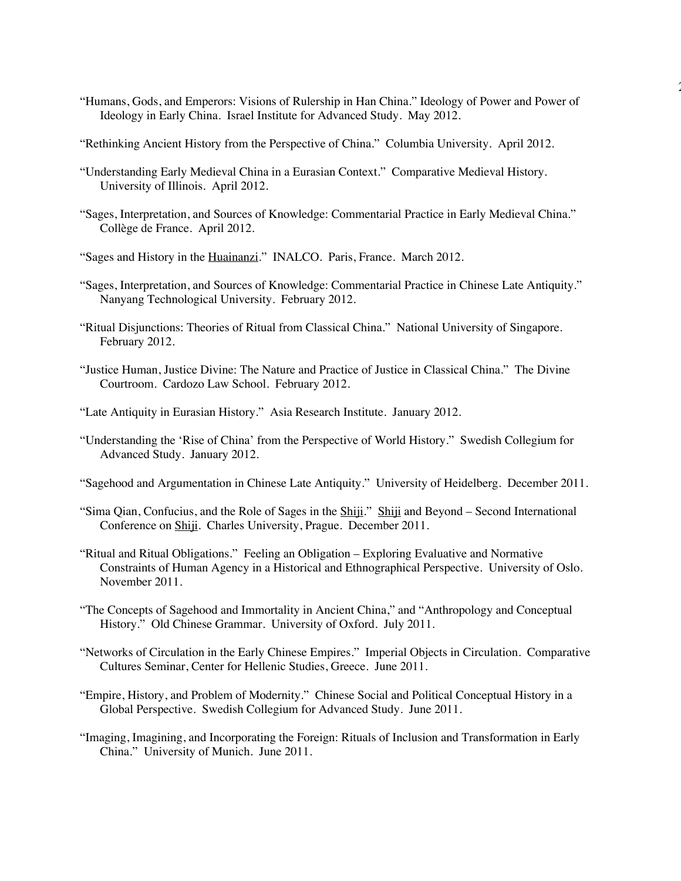"Humans, Gods, and Emperors: Visions of Rulership in Han China." Ideology of Power and Power of Ideology in Early China. Israel Institute for Advanced Study. May 2012.

 $\overline{a}$ 

- "Rethinking Ancient History from the Perspective of China." Columbia University. April 2012.
- "Understanding Early Medieval China in a Eurasian Context." Comparative Medieval History. University of Illinois. April 2012.
- "Sages, Interpretation, and Sources of Knowledge: Commentarial Practice in Early Medieval China." Collège de France. April 2012.
- "Sages and History in the Huainanzi." INALCO. Paris, France. March 2012.
- "Sages, Interpretation, and Sources of Knowledge: Commentarial Practice in Chinese Late Antiquity." Nanyang Technological University. February 2012.
- "Ritual Disjunctions: Theories of Ritual from Classical China." National University of Singapore. February 2012.
- "Justice Human, Justice Divine: The Nature and Practice of Justice in Classical China." The Divine Courtroom. Cardozo Law School. February 2012.
- "Late Antiquity in Eurasian History." Asia Research Institute. January 2012.
- "Understanding the 'Rise of China' from the Perspective of World History." Swedish Collegium for Advanced Study. January 2012.
- "Sagehood and Argumentation in Chinese Late Antiquity." University of Heidelberg. December 2011.
- "Sima Qian, Confucius, and the Role of Sages in the Shiji." Shiji and Beyond Second International Conference on Shiji. Charles University, Prague. December 2011.
- "Ritual and Ritual Obligations." Feeling an Obligation Exploring Evaluative and Normative Constraints of Human Agency in a Historical and Ethnographical Perspective. University of Oslo. November 2011.
- "The Concepts of Sagehood and Immortality in Ancient China," and "Anthropology and Conceptual History." Old Chinese Grammar. University of Oxford. July 2011.
- "Networks of Circulation in the Early Chinese Empires." Imperial Objects in Circulation. Comparative Cultures Seminar, Center for Hellenic Studies, Greece. June 2011.
- "Empire, History, and Problem of Modernity." Chinese Social and Political Conceptual History in a Global Perspective. Swedish Collegium for Advanced Study. June 2011.
- "Imaging, Imagining, and Incorporating the Foreign: Rituals of Inclusion and Transformation in Early China." University of Munich. June 2011.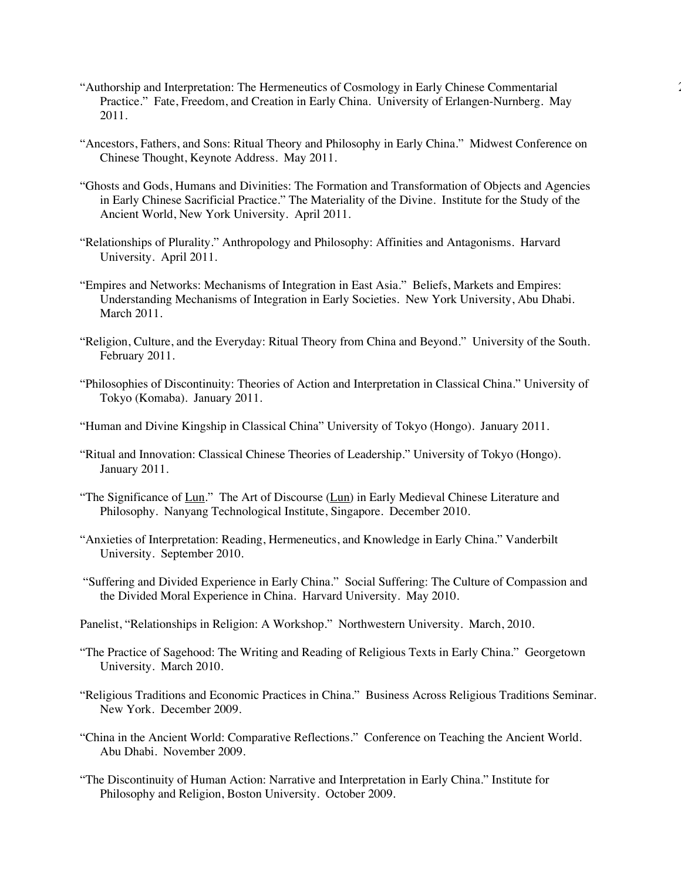- "Authorship and Interpretation: The Hermeneutics of Cosmology in Early Chinese Commentarial 21 Practice." Fate, Freedom, and Creation in Early China. University of Erlangen-Nurnberg. May 2011.
- "Ancestors, Fathers, and Sons: Ritual Theory and Philosophy in Early China." Midwest Conference on Chinese Thought, Keynote Address. May 2011.
- "Ghosts and Gods, Humans and Divinities: The Formation and Transformation of Objects and Agencies in Early Chinese Sacrificial Practice." The Materiality of the Divine. Institute for the Study of the Ancient World, New York University. April 2011.
- "Relationships of Plurality." Anthropology and Philosophy: Affinities and Antagonisms. Harvard University. April 2011.
- "Empires and Networks: Mechanisms of Integration in East Asia." Beliefs, Markets and Empires: Understanding Mechanisms of Integration in Early Societies. New York University, Abu Dhabi. March 2011.
- "Religion, Culture, and the Everyday: Ritual Theory from China and Beyond." University of the South. February 2011.
- "Philosophies of Discontinuity: Theories of Action and Interpretation in Classical China." University of Tokyo (Komaba). January 2011.
- "Human and Divine Kingship in Classical China" University of Tokyo (Hongo). January 2011.
- "Ritual and Innovation: Classical Chinese Theories of Leadership." University of Tokyo (Hongo). January 2011.
- "The Significance of Lun." The Art of Discourse (Lun) in Early Medieval Chinese Literature and Philosophy. Nanyang Technological Institute, Singapore. December 2010.
- "Anxieties of Interpretation: Reading, Hermeneutics, and Knowledge in Early China." Vanderbilt University. September 2010.
- "Suffering and Divided Experience in Early China." Social Suffering: The Culture of Compassion and the Divided Moral Experience in China. Harvard University. May 2010.
- Panelist, "Relationships in Religion: A Workshop." Northwestern University. March, 2010.
- "The Practice of Sagehood: The Writing and Reading of Religious Texts in Early China." Georgetown University. March 2010.
- "Religious Traditions and Economic Practices in China." Business Across Religious Traditions Seminar. New York. December 2009.
- "China in the Ancient World: Comparative Reflections." Conference on Teaching the Ancient World. Abu Dhabi. November 2009.
- "The Discontinuity of Human Action: Narrative and Interpretation in Early China." Institute for Philosophy and Religion, Boston University. October 2009.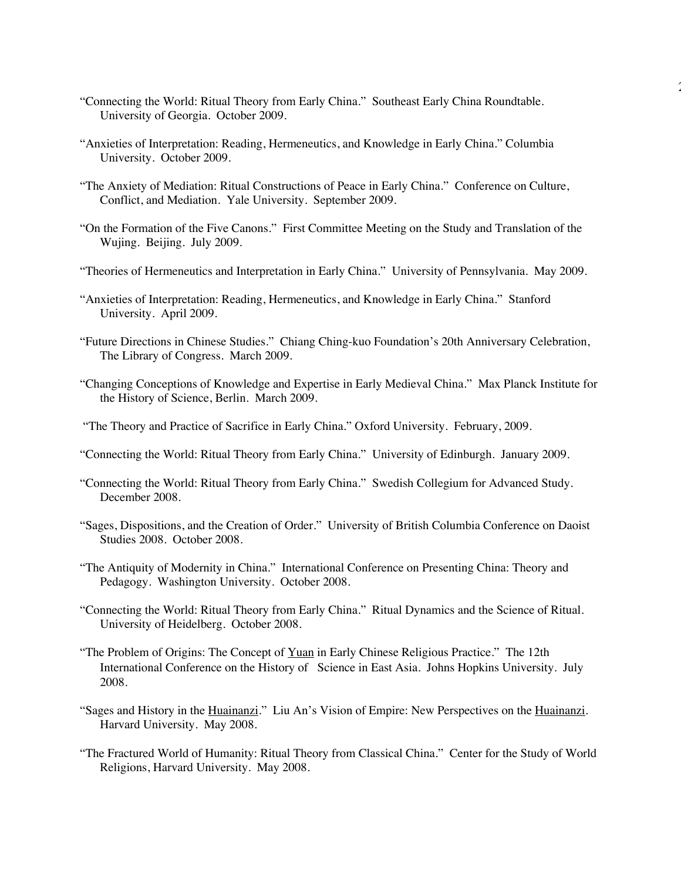"Connecting the World: Ritual Theory from Early China." Southeast Early China Roundtable. University of Georgia. October 2009.

22

- "Anxieties of Interpretation: Reading, Hermeneutics, and Knowledge in Early China." Columbia University. October 2009.
- "The Anxiety of Mediation: Ritual Constructions of Peace in Early China." Conference on Culture, Conflict, and Mediation. Yale University. September 2009.
- "On the Formation of the Five Canons." First Committee Meeting on the Study and Translation of the Wujing. Beijing. July 2009.
- "Theories of Hermeneutics and Interpretation in Early China." University of Pennsylvania. May 2009.
- "Anxieties of Interpretation: Reading, Hermeneutics, and Knowledge in Early China." Stanford University. April 2009.
- "Future Directions in Chinese Studies." Chiang Ching-kuo Foundation's 20th Anniversary Celebration, The Library of Congress. March 2009.
- "Changing Conceptions of Knowledge and Expertise in Early Medieval China." Max Planck Institute for the History of Science, Berlin. March 2009.
- "The Theory and Practice of Sacrifice in Early China." Oxford University. February, 2009.
- "Connecting the World: Ritual Theory from Early China." University of Edinburgh. January 2009.
- "Connecting the World: Ritual Theory from Early China." Swedish Collegium for Advanced Study. December 2008.
- "Sages, Dispositions, and the Creation of Order." University of British Columbia Conference on Daoist Studies 2008. October 2008.
- "The Antiquity of Modernity in China." International Conference on Presenting China: Theory and Pedagogy. Washington University. October 2008.
- "Connecting the World: Ritual Theory from Early China." Ritual Dynamics and the Science of Ritual. University of Heidelberg. October 2008.
- "The Problem of Origins: The Concept of Yuan in Early Chinese Religious Practice." The 12th International Conference on the History of Science in East Asia. Johns Hopkins University. July 2008.
- "Sages and History in the Huainanzi." Liu An's Vision of Empire: New Perspectives on the Huainanzi. Harvard University. May 2008.
- "The Fractured World of Humanity: Ritual Theory from Classical China." Center for the Study of World Religions, Harvard University. May 2008.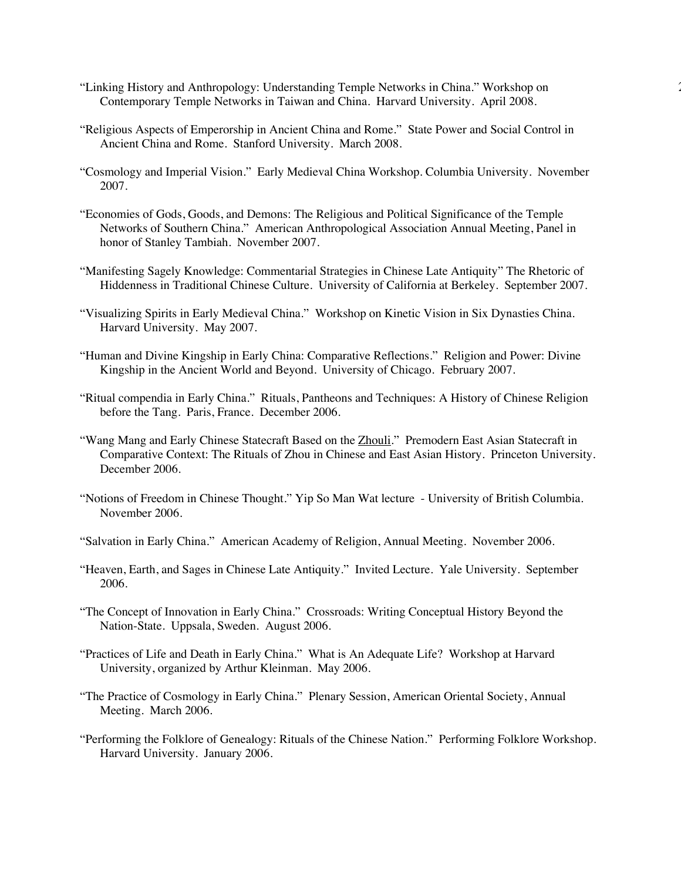- "Linking History and Anthropology: Understanding Temple Networks in China." Workshop on 23 Contemporary Temple Networks in Taiwan and China. Harvard University. April 2008.
- "Religious Aspects of Emperorship in Ancient China and Rome." State Power and Social Control in Ancient China and Rome. Stanford University. March 2008.
- "Cosmology and Imperial Vision." Early Medieval China Workshop. Columbia University. November 2007.
- "Economies of Gods, Goods, and Demons: The Religious and Political Significance of the Temple Networks of Southern China." American Anthropological Association Annual Meeting, Panel in honor of Stanley Tambiah. November 2007.
- "Manifesting Sagely Knowledge: Commentarial Strategies in Chinese Late Antiquity" The Rhetoric of Hiddenness in Traditional Chinese Culture. University of California at Berkeley. September 2007.
- "Visualizing Spirits in Early Medieval China." Workshop on Kinetic Vision in Six Dynasties China. Harvard University. May 2007.
- "Human and Divine Kingship in Early China: Comparative Reflections." Religion and Power: Divine Kingship in the Ancient World and Beyond. University of Chicago. February 2007.
- "Ritual compendia in Early China." Rituals, Pantheons and Techniques: A History of Chinese Religion before the Tang. Paris, France. December 2006.
- "Wang Mang and Early Chinese Statecraft Based on the Zhouli." Premodern East Asian Statecraft in Comparative Context: The Rituals of Zhou in Chinese and East Asian History. Princeton University. December 2006.
- "Notions of Freedom in Chinese Thought." Yip So Man Wat lecture University of British Columbia. November 2006.
- "Salvation in Early China." American Academy of Religion, Annual Meeting. November 2006.
- "Heaven, Earth, and Sages in Chinese Late Antiquity." Invited Lecture. Yale University. September 2006.
- "The Concept of Innovation in Early China." Crossroads: Writing Conceptual History Beyond the Nation-State. Uppsala, Sweden. August 2006.
- "Practices of Life and Death in Early China." What is An Adequate Life? Workshop at Harvard University, organized by Arthur Kleinman. May 2006.
- "The Practice of Cosmology in Early China." Plenary Session, American Oriental Society, Annual Meeting. March 2006.
- "Performing the Folklore of Genealogy: Rituals of the Chinese Nation." Performing Folklore Workshop. Harvard University. January 2006.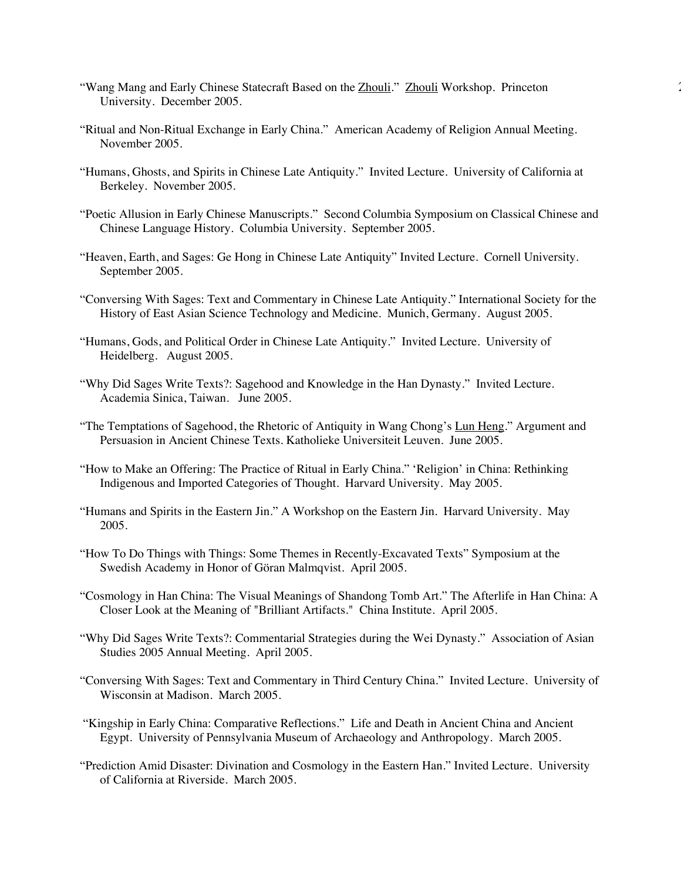- "Wang Mang and Early Chinese Statecraft Based on the Zhouli." Zhouli Workshop. Princeton University. December 2005.
- "Ritual and Non-Ritual Exchange in Early China." American Academy of Religion Annual Meeting. November 2005.
- "Humans, Ghosts, and Spirits in Chinese Late Antiquity." Invited Lecture. University of California at Berkeley. November 2005.
- "Poetic Allusion in Early Chinese Manuscripts." Second Columbia Symposium on Classical Chinese and Chinese Language History. Columbia University. September 2005.
- "Heaven, Earth, and Sages: Ge Hong in Chinese Late Antiquity" Invited Lecture. Cornell University. September 2005.
- "Conversing With Sages: Text and Commentary in Chinese Late Antiquity." International Society for the History of East Asian Science Technology and Medicine. Munich, Germany. August 2005.
- "Humans, Gods, and Political Order in Chinese Late Antiquity." Invited Lecture. University of Heidelberg. August 2005.
- "Why Did Sages Write Texts?: Sagehood and Knowledge in the Han Dynasty." Invited Lecture. Academia Sinica, Taiwan. June 2005.
- "The Temptations of Sagehood, the Rhetoric of Antiquity in Wang Chong's Lun Heng." Argument and Persuasion in Ancient Chinese Texts. Katholieke Universiteit Leuven. June 2005.
- "How to Make an Offering: The Practice of Ritual in Early China." 'Religion' in China: Rethinking Indigenous and Imported Categories of Thought. Harvard University. May 2005.
- "Humans and Spirits in the Eastern Jin." A Workshop on the Eastern Jin. Harvard University. May 2005.
- "How To Do Things with Things: Some Themes in Recently-Excavated Texts" Symposium at the Swedish Academy in Honor of Göran Malmqvist. April 2005.
- "Cosmology in Han China: The Visual Meanings of Shandong Tomb Art." The Afterlife in Han China: A Closer Look at the Meaning of "Brilliant Artifacts." China Institute. April 2005.
- "Why Did Sages Write Texts?: Commentarial Strategies during the Wei Dynasty." Association of Asian Studies 2005 Annual Meeting. April 2005.
- "Conversing With Sages: Text and Commentary in Third Century China." Invited Lecture. University of Wisconsin at Madison. March 2005.
- "Kingship in Early China: Comparative Reflections." Life and Death in Ancient China and Ancient Egypt. University of Pennsylvania Museum of Archaeology and Anthropology. March 2005.
- "Prediction Amid Disaster: Divination and Cosmology in the Eastern Han." Invited Lecture. University of California at Riverside. March 2005.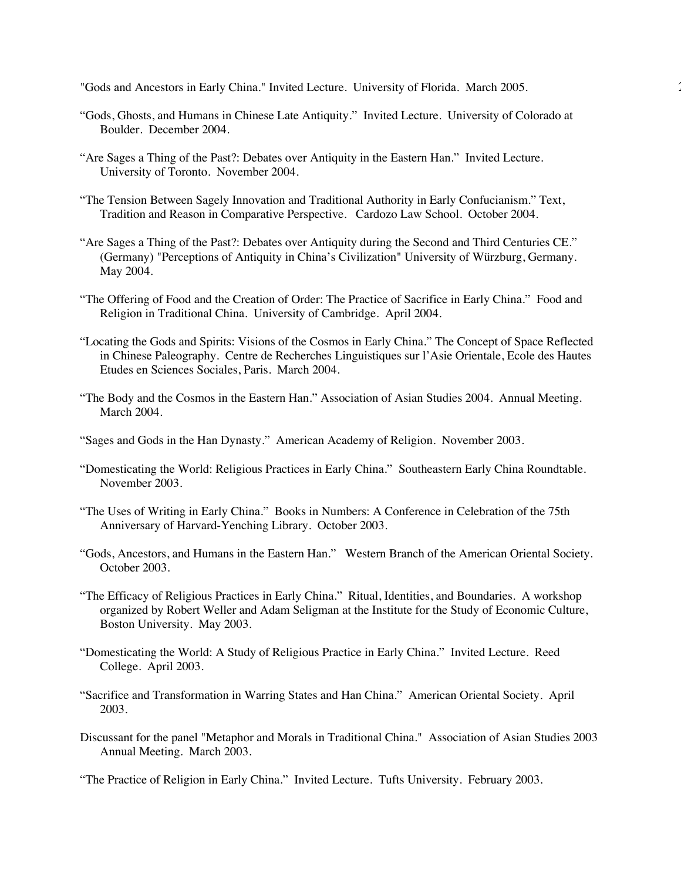"Gods and Ancestors in Early China." Invited Lecture. University of Florida. March 2005. 25

- "Gods, Ghosts, and Humans in Chinese Late Antiquity." Invited Lecture. University of Colorado at Boulder. December 2004.
- "Are Sages a Thing of the Past?: Debates over Antiquity in the Eastern Han." Invited Lecture. University of Toronto. November 2004.
- "The Tension Between Sagely Innovation and Traditional Authority in Early Confucianism." Text, Tradition and Reason in Comparative Perspective. Cardozo Law School. October 2004.
- "Are Sages a Thing of the Past?: Debates over Antiquity during the Second and Third Centuries CE." (Germany) "Perceptions of Antiquity in China's Civilization" University of Würzburg, Germany. May 2004.
- "The Offering of Food and the Creation of Order: The Practice of Sacrifice in Early China." Food and Religion in Traditional China. University of Cambridge. April 2004.
- "Locating the Gods and Spirits: Visions of the Cosmos in Early China." The Concept of Space Reflected in Chinese Paleography. Centre de Recherches Linguistiques sur l'Asie Orientale, Ecole des Hautes Etudes en Sciences Sociales, Paris. March 2004.
- "The Body and the Cosmos in the Eastern Han." Association of Asian Studies 2004. Annual Meeting. March 2004.
- "Sages and Gods in the Han Dynasty." American Academy of Religion. November 2003.
- "Domesticating the World: Religious Practices in Early China." Southeastern Early China Roundtable. November 2003.
- "The Uses of Writing in Early China." Books in Numbers: A Conference in Celebration of the 75th Anniversary of Harvard-Yenching Library. October 2003.
- "Gods, Ancestors, and Humans in the Eastern Han." Western Branch of the American Oriental Society. October 2003.
- "The Efficacy of Religious Practices in Early China." Ritual, Identities, and Boundaries. A workshop organized by Robert Weller and Adam Seligman at the Institute for the Study of Economic Culture, Boston University. May 2003.
- "Domesticating the World: A Study of Religious Practice in Early China." Invited Lecture. Reed College. April 2003.
- "Sacrifice and Transformation in Warring States and Han China." American Oriental Society. April 2003.
- Discussant for the panel "Metaphor and Morals in Traditional China." Association of Asian Studies 2003 Annual Meeting. March 2003.

"The Practice of Religion in Early China." Invited Lecture. Tufts University. February 2003.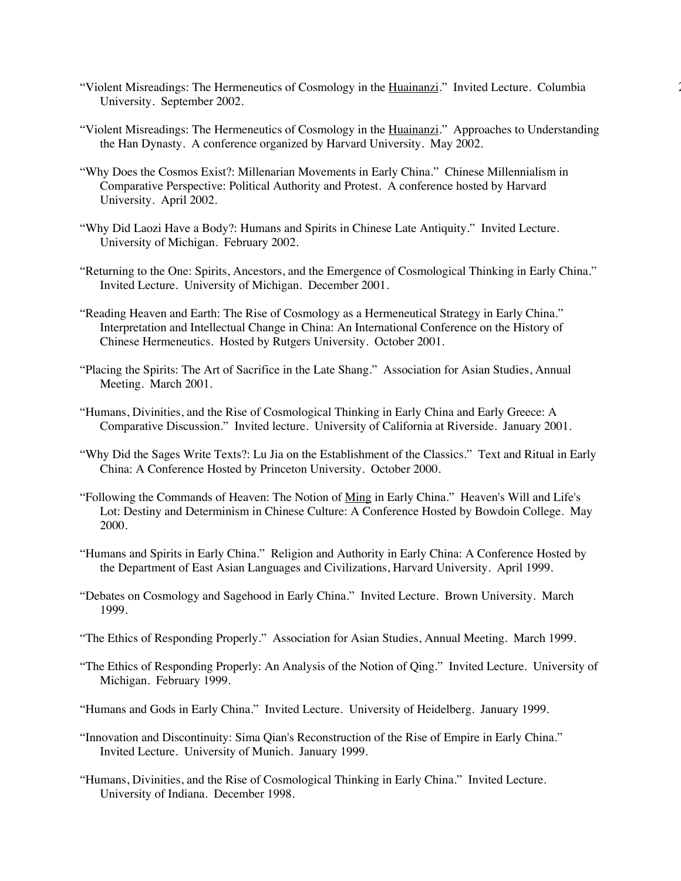- "Violent Misreadings: The Hermeneutics of Cosmology in the Huainanzi." Invited Lecture. Columbia 26 University. September 2002.
- "Violent Misreadings: The Hermeneutics of Cosmology in the Huainanzi." Approaches to Understanding the Han Dynasty. A conference organized by Harvard University. May 2002.
- "Why Does the Cosmos Exist?: Millenarian Movements in Early China." Chinese Millennialism in Comparative Perspective: Political Authority and Protest. A conference hosted by Harvard University. April 2002.
- "Why Did Laozi Have a Body?: Humans and Spirits in Chinese Late Antiquity." Invited Lecture. University of Michigan. February 2002.
- "Returning to the One: Spirits, Ancestors, and the Emergence of Cosmological Thinking in Early China." Invited Lecture. University of Michigan. December 2001.
- "Reading Heaven and Earth: The Rise of Cosmology as a Hermeneutical Strategy in Early China." Interpretation and Intellectual Change in China: An International Conference on the History of Chinese Hermeneutics. Hosted by Rutgers University. October 2001.
- "Placing the Spirits: The Art of Sacrifice in the Late Shang." Association for Asian Studies, Annual Meeting. March 2001.
- "Humans, Divinities, and the Rise of Cosmological Thinking in Early China and Early Greece: A Comparative Discussion." Invited lecture. University of California at Riverside. January 2001.
- "Why Did the Sages Write Texts?: Lu Jia on the Establishment of the Classics." Text and Ritual in Early China: A Conference Hosted by Princeton University. October 2000.
- "Following the Commands of Heaven: The Notion of Ming in Early China." Heaven's Will and Life's Lot: Destiny and Determinism in Chinese Culture: A Conference Hosted by Bowdoin College. May 2000.
- "Humans and Spirits in Early China." Religion and Authority in Early China: A Conference Hosted by the Department of East Asian Languages and Civilizations, Harvard University. April 1999.
- "Debates on Cosmology and Sagehood in Early China." Invited Lecture. Brown University. March 1999.
- "The Ethics of Responding Properly." Association for Asian Studies, Annual Meeting. March 1999.
- "The Ethics of Responding Properly: An Analysis of the Notion of Qing." Invited Lecture. University of Michigan. February 1999.
- "Humans and Gods in Early China." Invited Lecture. University of Heidelberg. January 1999.
- "Innovation and Discontinuity: Sima Qian's Reconstruction of the Rise of Empire in Early China." Invited Lecture. University of Munich. January 1999.
- "Humans, Divinities, and the Rise of Cosmological Thinking in Early China." Invited Lecture. University of Indiana. December 1998.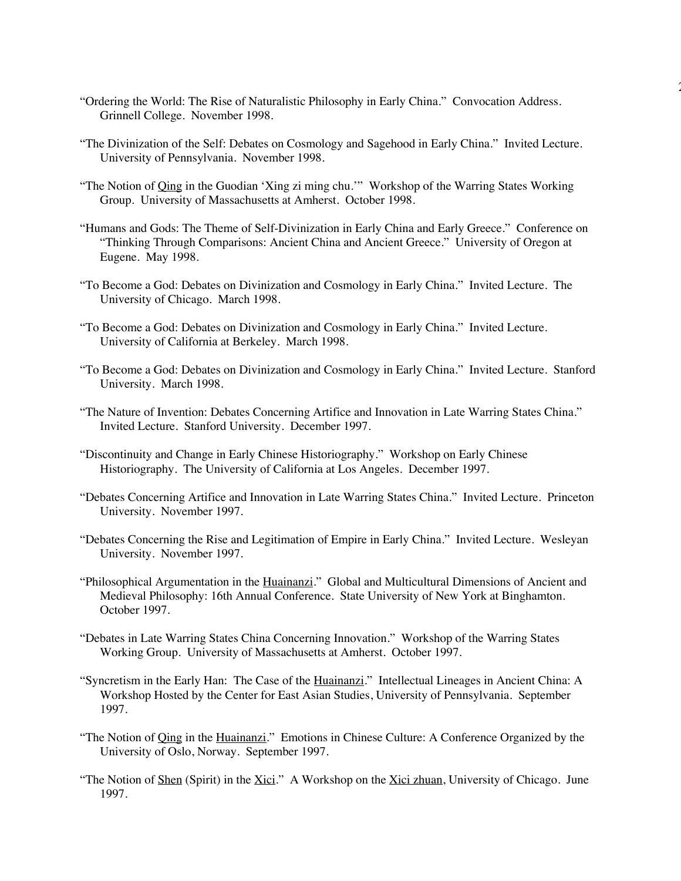- "Ordering the World: The Rise of Naturalistic Philosophy in Early China." Convocation Address. Grinnell College. November 1998.
- "The Divinization of the Self: Debates on Cosmology and Sagehood in Early China." Invited Lecture. University of Pennsylvania. November 1998.

27

- "The Notion of *Qing* in the Guodian 'Xing zi ming chu."" Workshop of the Warring States Working Group. University of Massachusetts at Amherst. October 1998.
- "Humans and Gods: The Theme of Self-Divinization in Early China and Early Greece." Conference on "Thinking Through Comparisons: Ancient China and Ancient Greece." University of Oregon at Eugene. May 1998.
- "To Become a God: Debates on Divinization and Cosmology in Early China." Invited Lecture. The University of Chicago. March 1998.
- "To Become a God: Debates on Divinization and Cosmology in Early China." Invited Lecture. University of California at Berkeley. March 1998.
- "To Become a God: Debates on Divinization and Cosmology in Early China." Invited Lecture. Stanford University. March 1998.
- "The Nature of Invention: Debates Concerning Artifice and Innovation in Late Warring States China." Invited Lecture. Stanford University. December 1997.
- "Discontinuity and Change in Early Chinese Historiography." Workshop on Early Chinese Historiography. The University of California at Los Angeles. December 1997.
- "Debates Concerning Artifice and Innovation in Late Warring States China." Invited Lecture. Princeton University. November 1997.
- "Debates Concerning the Rise and Legitimation of Empire in Early China." Invited Lecture. Wesleyan University. November 1997.
- "Philosophical Argumentation in the Huainanzi." Global and Multicultural Dimensions of Ancient and Medieval Philosophy: 16th Annual Conference. State University of New York at Binghamton. October 1997.
- "Debates in Late Warring States China Concerning Innovation." Workshop of the Warring States Working Group. University of Massachusetts at Amherst. October 1997.
- "Syncretism in the Early Han: The Case of the Huainanzi." Intellectual Lineages in Ancient China: A Workshop Hosted by the Center for East Asian Studies, University of Pennsylvania. September 1997.
- "The Notion of *Qing* in the *Huainanzi*." Emotions in Chinese Culture: A Conference Organized by the University of Oslo, Norway. September 1997.
- "The Notion of Shen (Spirit) in the Xici." A Workshop on the Xici zhuan, University of Chicago. June 1997.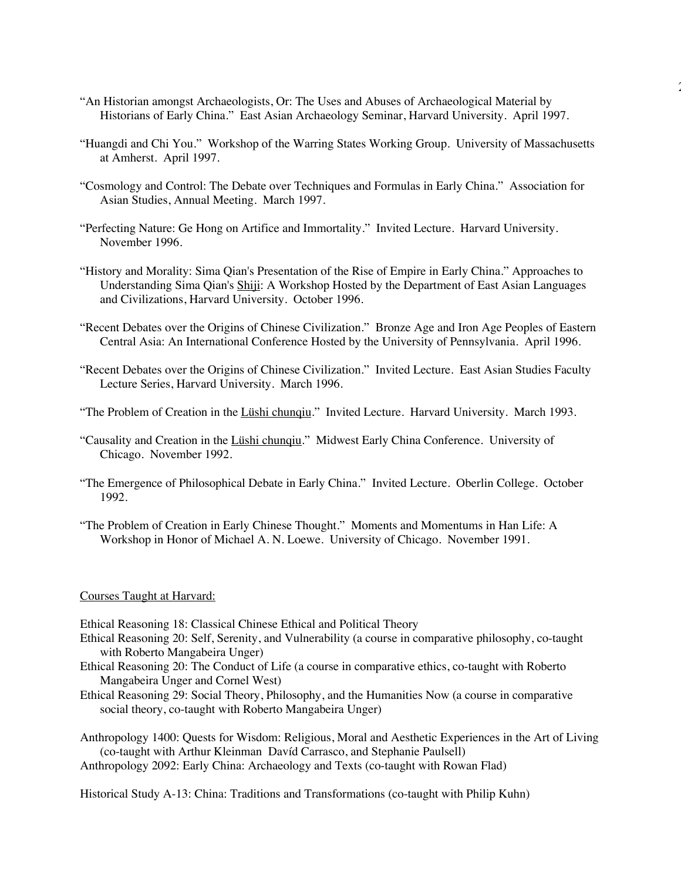- "An Historian amongst Archaeologists, Or: The Uses and Abuses of Archaeological Material by Historians of Early China." East Asian Archaeology Seminar, Harvard University. April 1997.
- "Huangdi and Chi You." Workshop of the Warring States Working Group. University of Massachusetts at Amherst. April 1997.

 $\overline{a}$ 

- "Cosmology and Control: The Debate over Techniques and Formulas in Early China." Association for Asian Studies, Annual Meeting. March 1997.
- "Perfecting Nature: Ge Hong on Artifice and Immortality." Invited Lecture. Harvard University. November 1996.
- "History and Morality: Sima Qian's Presentation of the Rise of Empire in Early China." Approaches to Understanding Sima Qian's Shiji: A Workshop Hosted by the Department of East Asian Languages and Civilizations, Harvard University. October 1996.
- "Recent Debates over the Origins of Chinese Civilization." Bronze Age and Iron Age Peoples of Eastern Central Asia: An International Conference Hosted by the University of Pennsylvania. April 1996.
- "Recent Debates over the Origins of Chinese Civilization." Invited Lecture. East Asian Studies Faculty Lecture Series, Harvard University. March 1996.
- "The Problem of Creation in the Lüshi chunqiu." Invited Lecture. Harvard University. March 1993.
- "Causality and Creation in the Lüshi chunqiu." Midwest Early China Conference. University of Chicago. November 1992.
- "The Emergence of Philosophical Debate in Early China." Invited Lecture. Oberlin College. October 1992.
- "The Problem of Creation in Early Chinese Thought." Moments and Momentums in Han Life: A Workshop in Honor of Michael A. N. Loewe. University of Chicago. November 1991.

#### Courses Taught at Harvard:

- Ethical Reasoning 18: Classical Chinese Ethical and Political Theory
- Ethical Reasoning 20: Self, Serenity, and Vulnerability (a course in comparative philosophy, co-taught with Roberto Mangabeira Unger)
- Ethical Reasoning 20: The Conduct of Life (a course in comparative ethics, co-taught with Roberto Mangabeira Unger and Cornel West)
- Ethical Reasoning 29: Social Theory, Philosophy, and the Humanities Now (a course in comparative social theory, co-taught with Roberto Mangabeira Unger)

Anthropology 1400: Quests for Wisdom: Religious, Moral and Aesthetic Experiences in the Art of Living (co-taught with Arthur Kleinman Davíd Carrasco, and Stephanie Paulsell)

Anthropology 2092: Early China: Archaeology and Texts (co-taught with Rowan Flad)

Historical Study A-13: China: Traditions and Transformations (co-taught with Philip Kuhn)